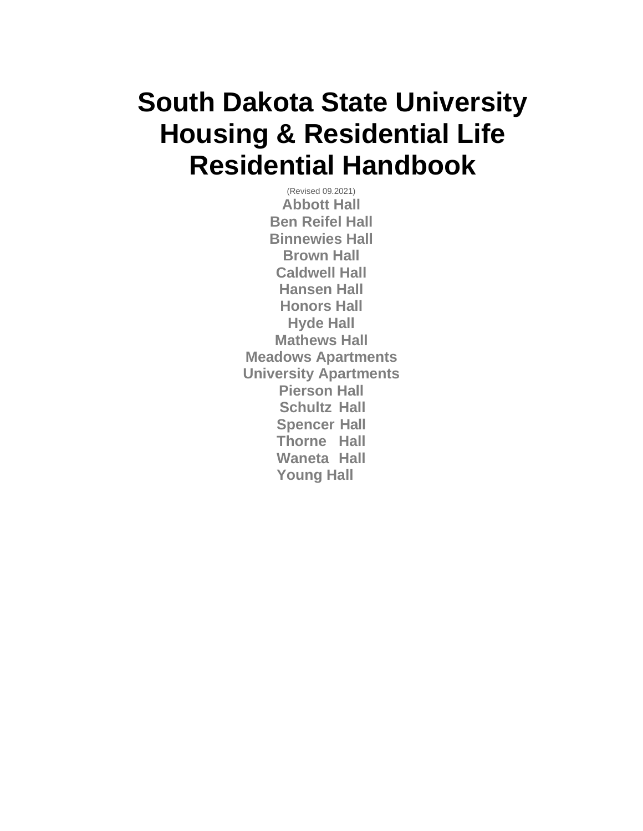## <span id="page-0-0"></span>**South Dakota State University Housing & Residential Life Residential Handbook**

(Revised 09.2021) **Abbott Hall Ben Reifel Hall Binnewies Hall Brown Hall Caldwell Hall Hansen Hall Honors Hall Hyde Hall Mathews Hall Meadows Apartments University Apartments Pierson Hall Schultz Hall Spencer Hall Thorne Hall Waneta Hall Young Hall**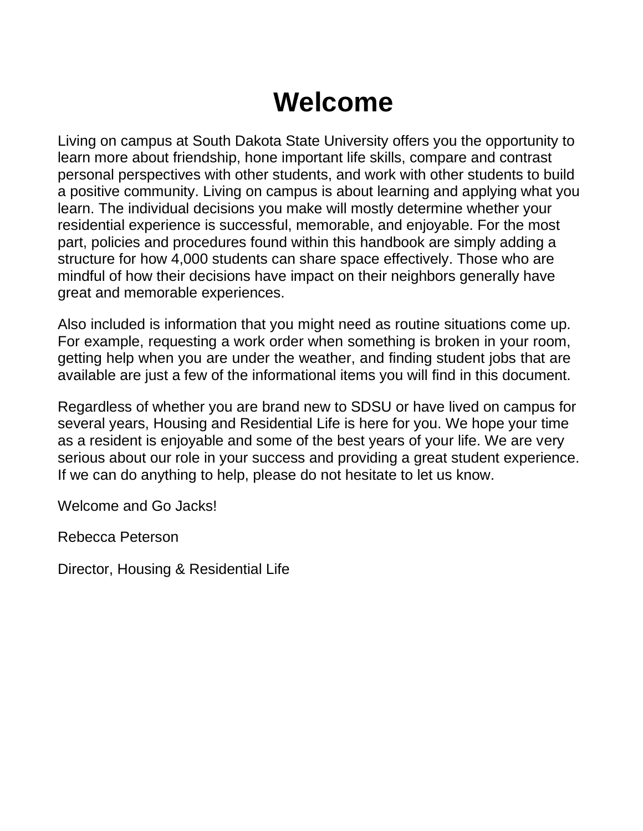## **Welcome**

<span id="page-1-0"></span>Living on campus at South Dakota State University offers you the opportunity to learn more about friendship, hone important life skills, compare and contrast personal perspectives with other students, and work with other students to build a positive community. Living on campus is about learning and applying what you learn. The individual decisions you make will mostly determine whether your residential experience is successful, memorable, and enjoyable. For the most part, policies and procedures found within this handbook are simply adding a structure for how 4,000 students can share space effectively. Those who are mindful of how their decisions have impact on their neighbors generally have great and memorable experiences.

Also included is information that you might need as routine situations come up. For example, requesting a work order when something is broken in your room, getting help when you are under the weather, and finding student jobs that are available are just a few of the informational items you will find in this document.

Regardless of whether you are brand new to SDSU or have lived on campus for several years, Housing and Residential Life is here for you. We hope your time as a resident is enjoyable and some of the best years of your life. We are very serious about our role in your success and providing a great student experience. If we can do anything to help, please do not hesitate to let us know.

Welcome and Go Jacks!

Rebecca Peterson

Director, Housing & Residential Life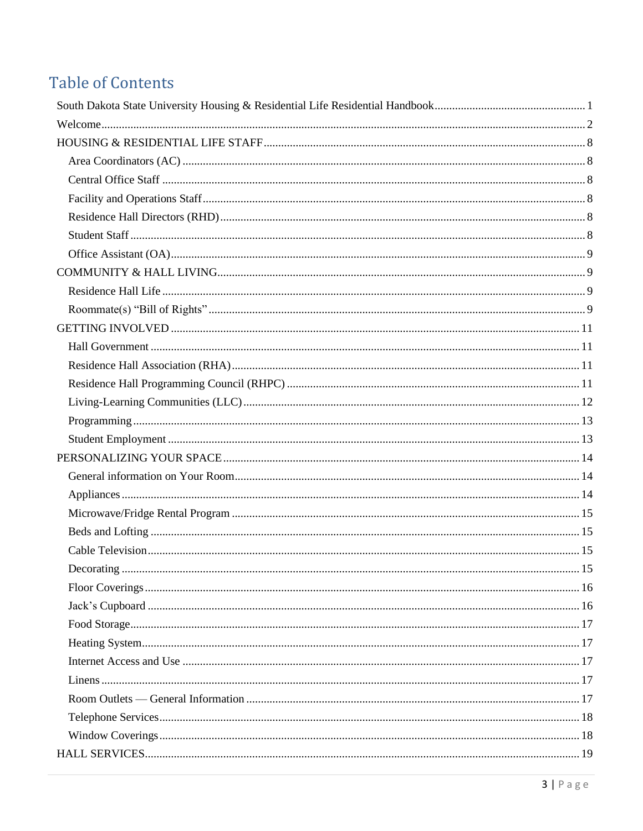## **Table of Contents**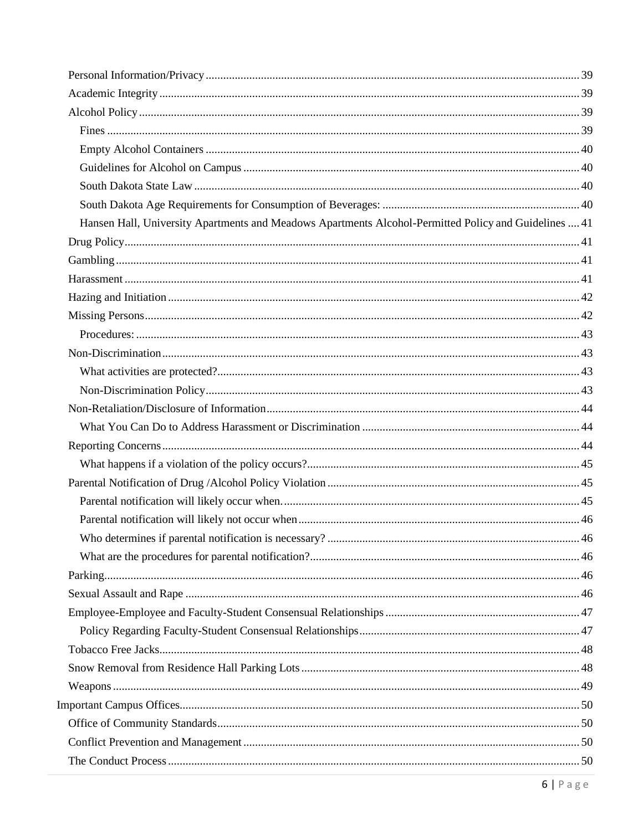| Hansen Hall, University Apartments and Meadows Apartments Alcohol-Permitted Policy and Guidelines  41 |  |
|-------------------------------------------------------------------------------------------------------|--|
|                                                                                                       |  |
|                                                                                                       |  |
|                                                                                                       |  |
|                                                                                                       |  |
|                                                                                                       |  |
|                                                                                                       |  |
|                                                                                                       |  |
|                                                                                                       |  |
|                                                                                                       |  |
|                                                                                                       |  |
|                                                                                                       |  |
|                                                                                                       |  |
|                                                                                                       |  |
|                                                                                                       |  |
|                                                                                                       |  |
|                                                                                                       |  |
|                                                                                                       |  |
|                                                                                                       |  |
|                                                                                                       |  |
|                                                                                                       |  |
|                                                                                                       |  |
|                                                                                                       |  |
|                                                                                                       |  |
|                                                                                                       |  |
|                                                                                                       |  |
|                                                                                                       |  |
|                                                                                                       |  |
|                                                                                                       |  |
|                                                                                                       |  |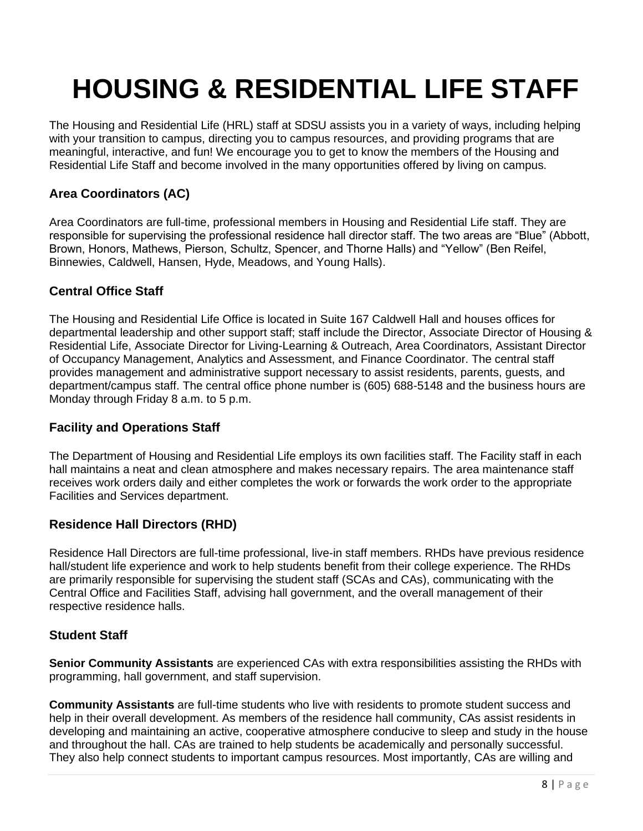## <span id="page-7-0"></span>**HOUSING & RESIDENTIAL LIFE STAFF**

The Housing and Residential Life (HRL) staff at SDSU assists you in a variety of ways, including helping with your transition to campus, directing you to campus resources, and providing programs that are meaningful, interactive, and fun! We encourage you to get to know the members of the Housing and Residential Life Staff and become involved in the many opportunities offered by living on campus.

## <span id="page-7-1"></span>**Area Coordinators (AC)**

Area Coordinators are full-time, professional members in Housing and Residential Life staff. They are responsible for supervising the professional residence hall director staff. The two areas are "Blue" (Abbott, Brown, Honors, Mathews, Pierson, Schultz, Spencer, and Thorne Halls) and "Yellow" (Ben Reifel, Binnewies, Caldwell, Hansen, Hyde, Meadows, and Young Halls).

## <span id="page-7-2"></span>**Central Office Staff**

The Housing and Residential Life Office is located in Suite 167 Caldwell Hall and houses offices for departmental leadership and other support staff; staff include the Director, Associate Director of Housing & Residential Life, Associate Director for Living-Learning & Outreach, Area Coordinators, Assistant Director of Occupancy Management, Analytics and Assessment, and Finance Coordinator. The central staff provides management and administrative support necessary to assist residents, parents, guests, and department/campus staff. The central office phone number is (605) 688-5148 and the business hours are Monday through Friday 8 a.m. to 5 p.m.

### <span id="page-7-3"></span>**Facility and Operations Staff**

The Department of Housing and Residential Life employs its own facilities staff. The Facility staff in each hall maintains a neat and clean atmosphere and makes necessary repairs. The area maintenance staff receives work orders daily and either completes the work or forwards the work order to the appropriate Facilities and Services department.

## <span id="page-7-4"></span>**Residence Hall Directors (RHD)**

Residence Hall Directors are full-time professional, live-in staff members. RHDs have previous residence hall/student life experience and work to help students benefit from their college experience. The RHDs are primarily responsible for supervising the student staff (SCAs and CAs), communicating with the Central Office and Facilities Staff, advising hall government, and the overall management of their respective residence halls.

### <span id="page-7-5"></span>**Student Staff**

**Senior Community Assistants** are experienced CAs with extra responsibilities assisting the RHDs with programming, hall government, and staff supervision.

**Community Assistants** are full-time students who live with residents to promote student success and help in their overall development. As members of the residence hall community, CAs assist residents in developing and maintaining an active, cooperative atmosphere conducive to sleep and study in the house and throughout the hall. CAs are trained to help students be academically and personally successful. They also help connect students to important campus resources. Most importantly, CAs are willing and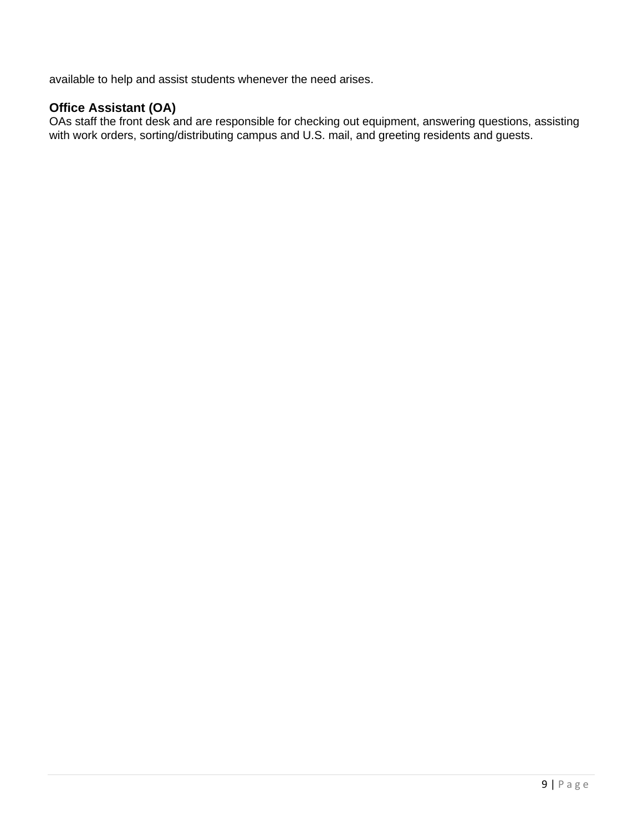<span id="page-8-1"></span>available to help and assist students whenever the need arises.

## <span id="page-8-0"></span>**Office Assistant (OA)**

OAs staff the front desk and are responsible for checking out equipment, answering questions, assisting with work orders, sorting/distributing campus and U.S. mail, and greeting residents and guests.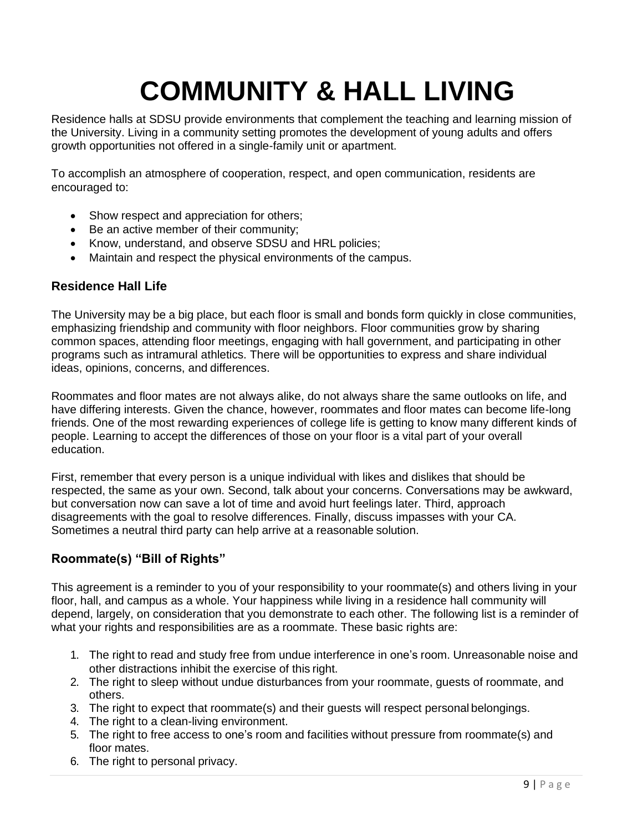## **COMMUNITY & HALL LIVING**

Residence halls at SDSU provide environments that complement the teaching and learning mission of the University. Living in a community setting promotes the development of young adults and offers growth opportunities not offered in a single-family unit or apartment.

To accomplish an atmosphere of cooperation, respect, and open communication, residents are encouraged to:

- Show respect and appreciation for others;
- Be an active member of their community;
- Know, understand, and observe SDSU and HRL policies;
- Maintain and respect the physical environments of the campus.

### <span id="page-9-0"></span>**Residence Hall Life**

The University may be a big place, but each floor is small and bonds form quickly in close communities, emphasizing friendship and community with floor neighbors. Floor communities grow by sharing common spaces, attending floor meetings, engaging with hall government, and participating in other programs such as intramural athletics. There will be opportunities to express and share individual ideas, opinions, concerns, and differences.

Roommates and floor mates are not always alike, do not always share the same outlooks on life, and have differing interests. Given the chance, however, roommates and floor mates can become life-long friends. One of the most rewarding experiences of college life is getting to know many different kinds of people. Learning to accept the differences of those on your floor is a vital part of your overall education.

First, remember that every person is a unique individual with likes and dislikes that should be respected, the same as your own. Second, talk about your concerns. Conversations may be awkward, but conversation now can save a lot of time and avoid hurt feelings later. Third, approach disagreements with the goal to resolve differences. Finally, discuss impasses with your CA. Sometimes a neutral third party can help arrive at a reasonable solution.

### <span id="page-9-1"></span>**Roommate(s) "Bill of Rights"**

This agreement is a reminder to you of your responsibility to your roommate(s) and others living in your floor, hall, and campus as a whole. Your happiness while living in a residence hall community will depend, largely, on consideration that you demonstrate to each other. The following list is a reminder of what your rights and responsibilities are as a roommate. These basic rights are:

- 1. The right to read and study free from undue interference in one's room. Unreasonable noise and other distractions inhibit the exercise of this right.
- 2. The right to sleep without undue disturbances from your roommate, guests of roommate, and others.
- 3. The right to expect that roommate(s) and their guests will respect personal belongings.
- 4. The right to a clean-living environment.
- 5. The right to free access to one's room and facilities without pressure from roommate(s) and floor mates.
- 6. The right to personal privacy.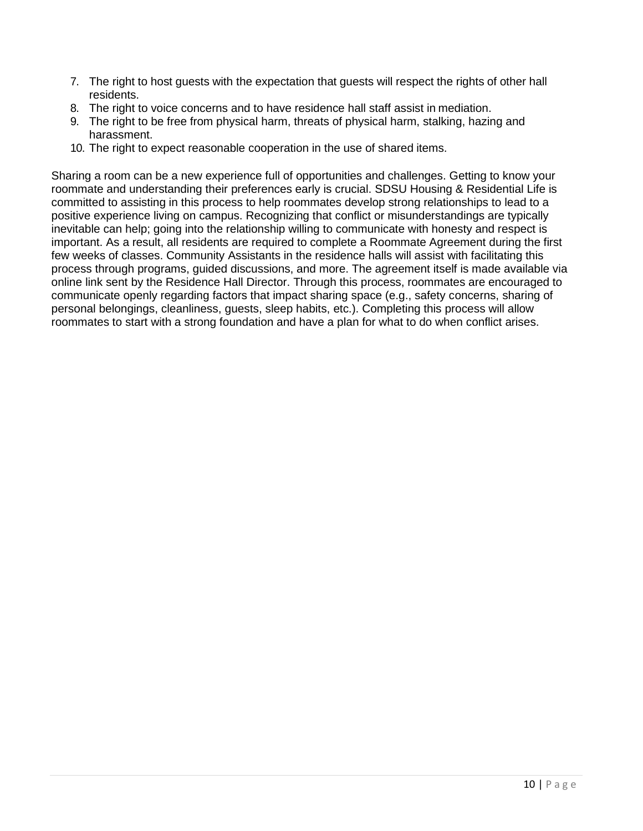- 7. The right to host guests with the expectation that guests will respect the rights of other hall residents.
- 8. The right to voice concerns and to have residence hall staff assist in mediation.
- 9. The right to be free from physical harm, threats of physical harm, stalking, hazing and harassment.
- 10. The right to expect reasonable cooperation in the use of shared items.

Sharing a room can be a new experience full of opportunities and challenges. Getting to know your roommate and understanding their preferences early is crucial. SDSU Housing & Residential Life is committed to assisting in this process to help roommates develop strong relationships to lead to a positive experience living on campus. Recognizing that conflict or misunderstandings are typically inevitable can help; going into the relationship willing to communicate with honesty and respect is important. As a result, all residents are required to complete a Roommate Agreement during the first few weeks of classes. Community Assistants in the residence halls will assist with facilitating this process through programs, guided discussions, and more. The agreement itself is made available via online link sent by the Residence Hall Director. Through this process, roommates are encouraged to communicate openly regarding factors that impact sharing space (e.g., safety concerns, sharing of personal belongings, cleanliness, guests, sleep habits, etc.). Completing this process will allow roommates to start with a strong foundation and have a plan for what to do when conflict arises.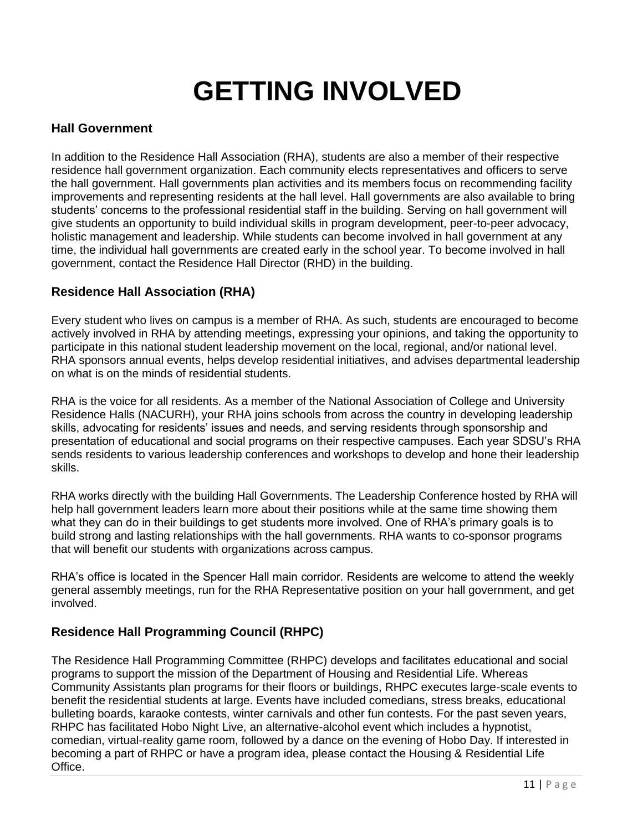## **GETTING INVOLVED**

## <span id="page-11-1"></span><span id="page-11-0"></span>**Hall Government**

In addition to the Residence Hall Association (RHA), students are also a member of their respective residence hall government organization. Each community elects representatives and officers to serve the hall government. Hall governments plan activities and its members focus on recommending facility improvements and representing residents at the hall level. Hall governments are also available to bring students' concerns to the professional residential staff in the building. Serving on hall government will give students an opportunity to build individual skills in program development, peer-to-peer advocacy, holistic management and leadership. While students can become involved in hall government at any time, the individual hall governments are created early in the school year. To become involved in hall government, contact the Residence Hall Director (RHD) in the building.

## <span id="page-11-2"></span>**Residence Hall Association (RHA)**

Every student who lives on campus is a member of RHA. As such, students are encouraged to become actively involved in RHA by attending meetings, expressing your opinions, and taking the opportunity to participate in this national student leadership movement on the local, regional, and/or national level. RHA sponsors annual events, helps develop residential initiatives, and advises departmental leadership on what is on the minds of residential students.

RHA is the voice for all residents. As a member of the National Association of College and University Residence Halls (NACURH), your RHA joins schools from across the country in developing leadership skills, advocating for residents' issues and needs, and serving residents through sponsorship and presentation of educational and social programs on their respective campuses. Each year SDSU's RHA sends residents to various leadership conferences and workshops to develop and hone their leadership skills.

RHA works directly with the building Hall Governments. The Leadership Conference hosted by RHA will help hall government leaders learn more about their positions while at the same time showing them what they can do in their buildings to get students more involved. One of RHA's primary goals is to build strong and lasting relationships with the hall governments. RHA wants to co-sponsor programs that will benefit our students with organizations across campus.

RHA's office is located in the Spencer Hall main corridor. Residents are welcome to attend the weekly general assembly meetings, run for the RHA Representative position on your hall government, and get involved.

## <span id="page-11-3"></span>**Residence Hall Programming Council (RHPC)**

The Residence Hall Programming Committee (RHPC) develops and facilitates educational and social programs to support the mission of the Department of Housing and Residential Life. Whereas Community Assistants plan programs for their floors or buildings, RHPC executes large-scale events to benefit the residential students at large. Events have included comedians, stress breaks, educational bulleting boards, karaoke contests, winter carnivals and other fun contests. For the past seven years, RHPC has facilitated Hobo Night Live, an alternative-alcohol event which includes a hypnotist, comedian, virtual-reality game room, followed by a dance on the evening of Hobo Day. If interested in becoming a part of RHPC or have a program idea, please contact the Housing & Residential Life Office.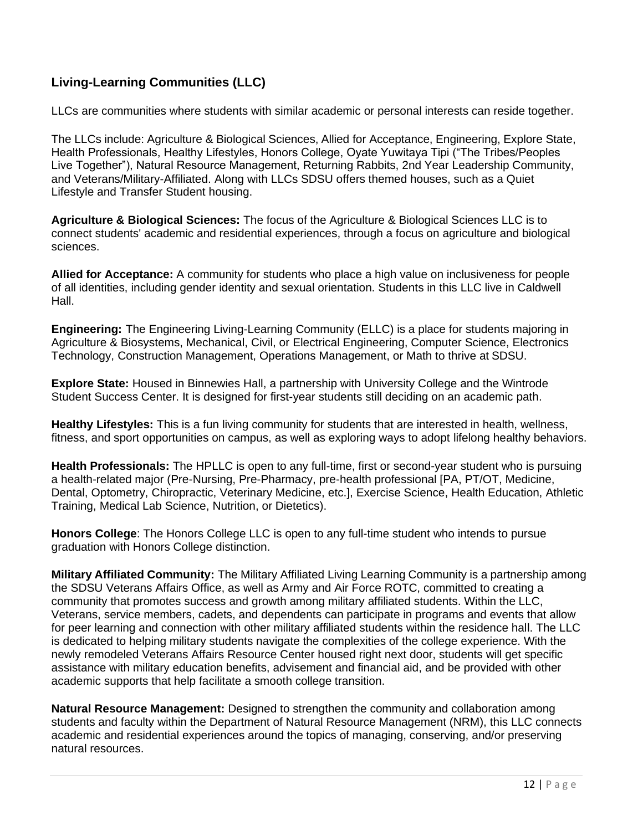## <span id="page-12-0"></span>**Living-Learning Communities (LLC)**

LLCs are communities where students with similar academic or personal interests can reside together.

The LLCs include: Agriculture & Biological Sciences, Allied for Acceptance, Engineering, Explore State, Health Professionals, Healthy Lifestyles, Honors College, Oyate Yuwitaya Tipi ("The Tribes/Peoples Live Together"), Natural Resource Management, Returning Rabbits, 2nd Year Leadership Community, and Veterans/Military-Affiliated. Along with LLCs SDSU offers themed houses, such as a Quiet Lifestyle and Transfer Student housing.

**Agriculture & Biological Sciences:** The focus of the Agriculture & Biological Sciences LLC is to connect students' academic and residential experiences, through a focus on agriculture and biological sciences.

**Allied for Acceptance:** A community for students who place a high value on inclusiveness for people of all identities, including gender identity and sexual orientation. Students in this LLC live in Caldwell Hall.

**Engineering:** The Engineering Living-Learning Community (ELLC) is a place for students majoring in Agriculture & Biosystems, Mechanical, Civil, or Electrical Engineering, Computer Science, Electronics Technology, Construction Management, Operations Management, or Math to thrive at SDSU.

**Explore State:** Housed in Binnewies Hall, a partnership with University College and the Wintrode Student Success Center. It is designed for first-year students still deciding on an academic path.

**Healthy Lifestyles:** This is a fun living community for students that are interested in health, wellness, fitness, and sport opportunities on campus, as well as exploring ways to adopt lifelong healthy behaviors.

**Health Professionals:** The HPLLC is open to any full-time, first or second-year student who is pursuing a health-related major (Pre-Nursing, Pre-Pharmacy, pre-health professional [PA, PT/OT, Medicine, Dental, Optometry, Chiropractic, Veterinary Medicine, etc.], Exercise Science, Health Education, Athletic Training, Medical Lab Science, Nutrition, or Dietetics).

**Honors College**: The Honors College LLC is open to any full-time student who intends to pursue graduation with Honors College distinction.

**Military Affiliated Community:** The Military Affiliated Living Learning Community is a partnership among the SDSU Veterans Affairs Office, as well as Army and Air Force ROTC, committed to creating a community that promotes success and growth among military affiliated students. Within the LLC, Veterans, service members, cadets, and dependents can participate in programs and events that allow for peer learning and connection with other military affiliated students within the residence hall. The LLC is dedicated to helping military students navigate the complexities of the college experience. With the newly remodeled Veterans Affairs Resource Center housed right next door, students will get specific assistance with military education benefits, advisement and financial aid, and be provided with other academic supports that help facilitate a smooth college transition.

**Natural Resource Management:** Designed to strengthen the community and collaboration among students and faculty within the Department of Natural Resource Management (NRM), this LLC connects academic and residential experiences around the topics of managing, conserving, and/or preserving natural resources.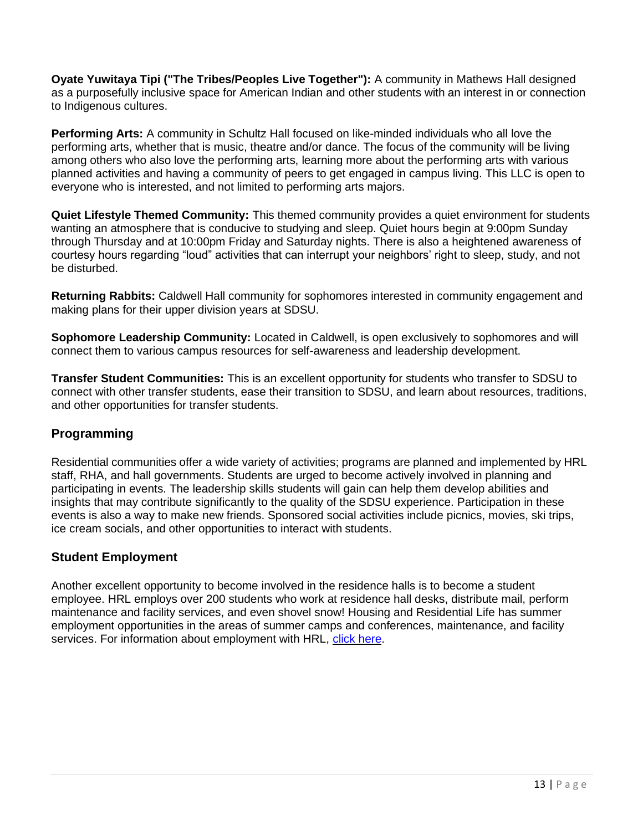**Oyate Yuwitaya Tipi ("The Tribes/Peoples Live Together"):** A community in Mathews Hall designed as a purposefully inclusive space for American Indian and other students with an interest in or connection to Indigenous cultures.

**Performing Arts:** A community in Schultz Hall focused on like-minded individuals who all love the performing arts, whether that is music, theatre and/or dance. The focus of the community will be living among others who also love the performing arts, learning more about the performing arts with various planned activities and having a community of peers to get engaged in campus living. This LLC is open to everyone who is interested, and not limited to performing arts majors.

**Quiet Lifestyle Themed Community:** This themed community provides a quiet environment for students wanting an atmosphere that is conducive to studying and sleep. Quiet hours begin at 9:00pm Sunday through Thursday and at 10:00pm Friday and Saturday nights. There is also a heightened awareness of courtesy hours regarding "loud" activities that can interrupt your neighbors' right to sleep, study, and not be disturbed.

**Returning Rabbits:** Caldwell Hall community for sophomores interested in community engagement and making plans for their upper division years at SDSU.

**Sophomore Leadership Community:** Located in Caldwell, is open exclusively to sophomores and will connect them to various campus resources for self-awareness and leadership development.

**Transfer Student Communities:** This is an excellent opportunity for students who transfer to SDSU to connect with other transfer students, ease their transition to SDSU, and learn about resources, traditions, and other opportunities for transfer students.

### <span id="page-13-0"></span>**Programming**

Residential communities offer a wide variety of activities; programs are planned and implemented by HRL staff, RHA, and hall governments. Students are urged to become actively involved in planning and participating in events. The leadership skills students will gain can help them develop abilities and insights that may contribute significantly to the quality of the SDSU experience. Participation in these events is also a way to make new friends. Sponsored social activities include picnics, movies, ski trips, ice cream socials, and other opportunities to interact with students.

### <span id="page-13-1"></span>**Student Employment**

Another excellent opportunity to become involved in the residence halls is to become a student employee. HRL employs over 200 students who work at residence hall desks, distribute mail, perform maintenance and facility services, and even shovel snow! Housing and Residential Life has summer employment opportunities in the areas of summer camps and conferences, maintenance, and facility services. For information about employment with HRL, [click here.](https://www.sdstate.edu/residential-life/employment-opportunities)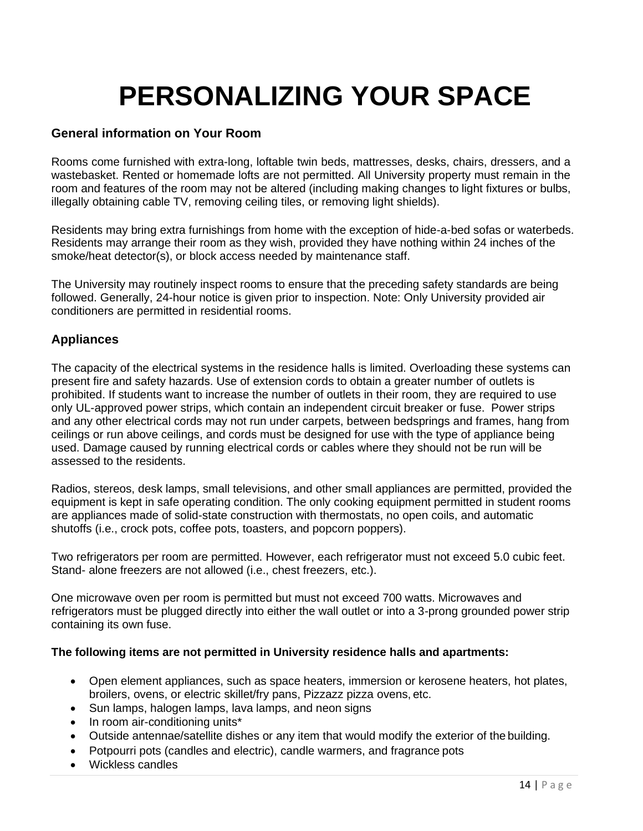## **PERSONALIZING YOUR SPACE**

### <span id="page-14-1"></span><span id="page-14-0"></span>**General information on Your Room**

Rooms come furnished with extra-long, loftable twin beds, mattresses, desks, chairs, dressers, and a wastebasket. Rented or homemade lofts are not permitted. All University property must remain in the room and features of the room may not be altered (including making changes to light fixtures or bulbs, illegally obtaining cable TV, removing ceiling tiles, or removing light shields).

Residents may bring extra furnishings from home with the exception of hide-a-bed sofas or waterbeds. Residents may arrange their room as they wish, provided they have nothing within 24 inches of the smoke/heat detector(s), or block access needed by maintenance staff.

The University may routinely inspect rooms to ensure that the preceding safety standards are being followed. Generally, 24-hour notice is given prior to inspection. Note: Only University provided air conditioners are permitted in residential rooms.

#### <span id="page-14-2"></span>**Appliances**

The capacity of the electrical systems in the residence halls is limited. Overloading these systems can present fire and safety hazards. Use of extension cords to obtain a greater number of outlets is prohibited. If students want to increase the number of outlets in their room, they are required to use only UL-approved power strips, which contain an independent circuit breaker or fuse. Power strips and any other electrical cords may not run under carpets, between bedsprings and frames, hang from ceilings or run above ceilings, and cords must be designed for use with the type of appliance being used. Damage caused by running electrical cords or cables where they should not be run will be assessed to the residents.

Radios, stereos, desk lamps, small televisions, and other small appliances are permitted, provided the equipment is kept in safe operating condition. The only cooking equipment permitted in student rooms are appliances made of solid-state construction with thermostats, no open coils, and automatic shutoffs (i.e., crock pots, coffee pots, toasters, and popcorn poppers).

Two refrigerators per room are permitted. However, each refrigerator must not exceed 5.0 cubic feet. Stand- alone freezers are not allowed (i.e., chest freezers, etc.).

One microwave oven per room is permitted but must not exceed 700 watts. Microwaves and refrigerators must be plugged directly into either the wall outlet or into a 3-prong grounded power strip containing its own fuse.

#### **The following items are not permitted in University residence halls and apartments:**

- Open element appliances, such as space heaters, immersion or kerosene heaters, hot plates, broilers, ovens, or electric skillet/fry pans, Pizzazz pizza ovens, etc.
- Sun lamps, halogen lamps, lava lamps, and neon signs
- In room air-conditioning units\*
- Outside antennae/satellite dishes or any item that would modify the exterior of the building.
- Potpourri pots (candles and electric), candle warmers, and fragrance pots
- Wickless candles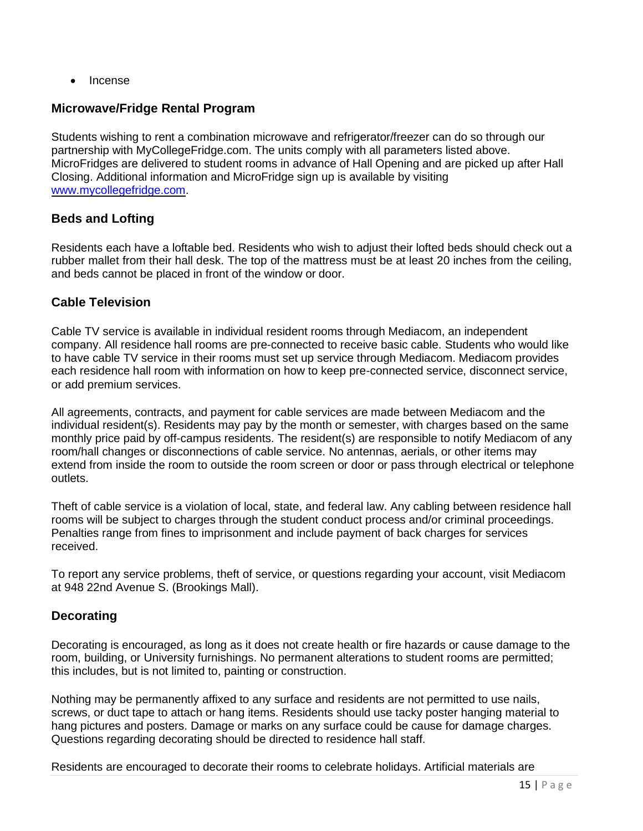• Incense

#### <span id="page-15-0"></span>**Microwave/Fridge Rental Program**

Students wishing to rent a combination microwave and refrigerator/freezer can do so through our partnership with MyCollegeFridge.com. The units comply with all parameters listed above. MicroFridges are delivered to student rooms in advance of Hall Opening and are picked up after Hall Closing. Additional information and MicroFridge sign up is available by visiting [www.mycollegefridge.com.](http://www.mycollegefridge.com/)

## <span id="page-15-1"></span>**Beds and Lofting**

Residents each have a loftable bed. Residents who wish to adjust their lofted beds should check out a rubber mallet from their hall desk. The top of the mattress must be at least 20 inches from the ceiling, and beds cannot be placed in front of the window or door.

### <span id="page-15-2"></span>**Cable Television**

Cable TV service is available in individual resident rooms through Mediacom, an independent company. All residence hall rooms are pre-connected to receive basic cable. Students who would like to have cable TV service in their rooms must set up service through Mediacom. Mediacom provides each residence hall room with information on how to keep pre-connected service, disconnect service, or add premium services.

All agreements, contracts, and payment for cable services are made between Mediacom and the individual resident(s). Residents may pay by the month or semester, with charges based on the same monthly price paid by off-campus residents. The resident(s) are responsible to notify Mediacom of any room/hall changes or disconnections of cable service. No antennas, aerials, or other items may extend from inside the room to outside the room screen or door or pass through electrical or telephone outlets.

Theft of cable service is a violation of local, state, and federal law. Any cabling between residence hall rooms will be subject to charges through the student conduct process and/or criminal proceedings. Penalties range from fines to imprisonment and include payment of back charges for services received.

To report any service problems, theft of service, or questions regarding your account, visit Mediacom at 948 22nd Avenue S. (Brookings Mall).

### <span id="page-15-3"></span>**Decorating**

Decorating is encouraged, as long as it does not create health or fire hazards or cause damage to the room, building, or University furnishings. No permanent alterations to student rooms are permitted; this includes, but is not limited to, painting or construction.

Nothing may be permanently affixed to any surface and residents are not permitted to use nails, screws, or duct tape to attach or hang items. Residents should use tacky poster hanging material to hang pictures and posters. Damage or marks on any surface could be cause for damage charges. Questions regarding decorating should be directed to residence hall staff.

Residents are encouraged to decorate their rooms to celebrate holidays. Artificial materials are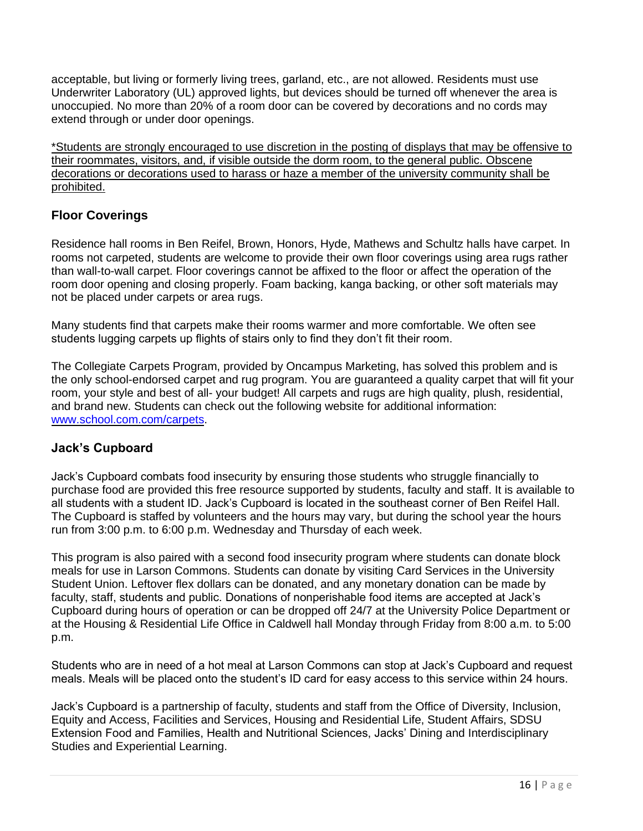acceptable, but living or formerly living trees, garland, etc., are not allowed. Residents must use Underwriter Laboratory (UL) approved lights, but devices should be turned off whenever the area is unoccupied. No more than 20% of a room door can be covered by decorations and no cords may extend through or under door openings.

\*Students are strongly encouraged to use discretion in the posting of displays that may be offensive to their roommates, visitors, and, if visible outside the dorm room, to the general public. Obscene decorations or decorations used to harass or haze a member of the university community shall be prohibited.

## <span id="page-16-0"></span>**Floor Coverings**

Residence hall rooms in Ben Reifel, Brown, Honors, Hyde, Mathews and Schultz halls have carpet. In rooms not carpeted, students are welcome to provide their own floor coverings using area rugs rather than wall-to-wall carpet. Floor coverings cannot be affixed to the floor or affect the operation of the room door opening and closing properly. Foam backing, kanga backing, or other soft materials may not be placed under carpets or area rugs.

Many students find that carpets make their rooms warmer and more comfortable. We often see students lugging carpets up flights of stairs only to find they don't fit their room.

The Collegiate Carpets Program, provided by Oncampus Marketing, has solved this problem and is the only school-endorsed carpet and rug program. You are guaranteed a quality carpet that will fit your room, your style and best of all- your budget! All carpets and rugs are high quality, plush, residential, and brand new. Students can check out the following website for additional information: [www.school.com.com/carpets.](http://www.school.com.com/carpets)

## <span id="page-16-1"></span>**Jack's Cupboard**

Jack's Cupboard combats food insecurity by ensuring those students who struggle financially to purchase food are provided this free resource supported by students, faculty and staff. It is available to all students with a student ID. Jack's Cupboard is located in the southeast corner of Ben Reifel Hall. The Cupboard is staffed by volunteers and the hours may vary, but during the school year the hours run from 3:00 p.m. to 6:00 p.m. Wednesday and Thursday of each week.

This program is also paired with a second food insecurity program where students can donate block meals for use in Larson Commons. Students can donate by visiting Card Services in the University Student Union. Leftover flex dollars can be donated, and any monetary donation can be made by faculty, staff, students and public. Donations of nonperishable food items are accepted at Jack's Cupboard during hours of operation or can be dropped off 24/7 at the University Police Department or at the Housing & Residential Life Office in Caldwell hall Monday through Friday from 8:00 a.m. to 5:00 p.m.

Students who are in need of a hot meal at Larson Commons can stop at Jack's Cupboard and request meals. Meals will be placed onto the student's ID card for easy access to this service within 24 hours.

Jack's Cupboard is a partnership of faculty, students and staff from the Office of Diversity, Inclusion, Equity and Access, Facilities and Services, Housing and Residential Life, Student Affairs, SDSU Extension Food and Families, Health and Nutritional Sciences, Jacks' Dining and Interdisciplinary Studies and Experiential Learning.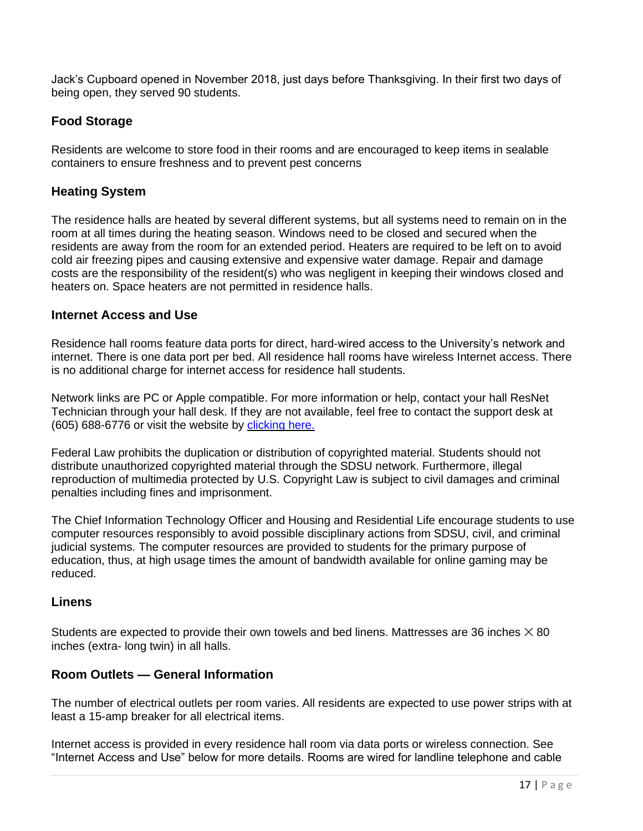Jack's Cupboard opened in November 2018, just days before Thanksgiving. In their first two days of being open, they served 90 students.

## <span id="page-17-0"></span>**Food Storage**

Residents are welcome to store food in their rooms and are encouraged to keep items in sealable containers to ensure freshness and to prevent pest concerns

### <span id="page-17-1"></span>**Heating System**

The residence halls are heated by several different systems, but all systems need to remain on in the room at all times during the heating season. Windows need to be closed and secured when the residents are away from the room for an extended period. Heaters are required to be left on to avoid cold air freezing pipes and causing extensive and expensive water damage. Repair and damage costs are the responsibility of the resident(s) who was negligent in keeping their windows closed and heaters on. Space heaters are not permitted in residence halls.

#### <span id="page-17-2"></span>**Internet Access and Use**

Residence hall rooms feature data ports for direct, hard-wired access to the University's network and internet. There is one data port per bed. All residence hall rooms have wireless Internet access. There is no additional charge for internet access for residence hall students.

Network links are PC or Apple compatible. For more information or help, contact your hall ResNet Technician through your hall desk. If they are not available, feel free to contact the support desk at (605) 688-6776 or visit the website by [clicking here.](http://www.sdstate.edu/technology/student/wireless-and-internet.cfm)

Federal Law prohibits the duplication or distribution of copyrighted material. Students should not distribute unauthorized copyrighted material through the SDSU network. Furthermore, illegal reproduction of multimedia protected by U.S. Copyright Law is subject to civil damages and criminal penalties including fines and imprisonment.

The Chief Information Technology Officer and Housing and Residential Life encourage students to use computer resources responsibly to avoid possible disciplinary actions from SDSU, civil, and criminal judicial systems. The computer resources are provided to students for the primary purpose of education, thus, at high usage times the amount of bandwidth available for online gaming may be reduced.

### <span id="page-17-3"></span>**Linens**

Students are expected to provide their own towels and bed linens. Mattresses are 36 inches  $\times$  80 inches (extra- long twin) in all halls.

### <span id="page-17-4"></span>**Room Outlets — General Information**

The number of electrical outlets per room varies. All residents are expected to use power strips with at least a 15-amp breaker for all electrical items.

Internet access is provided in every residence hall room via data ports or wireless connection. See "Internet Access and Use" below for more details. Rooms are wired for landline telephone and cable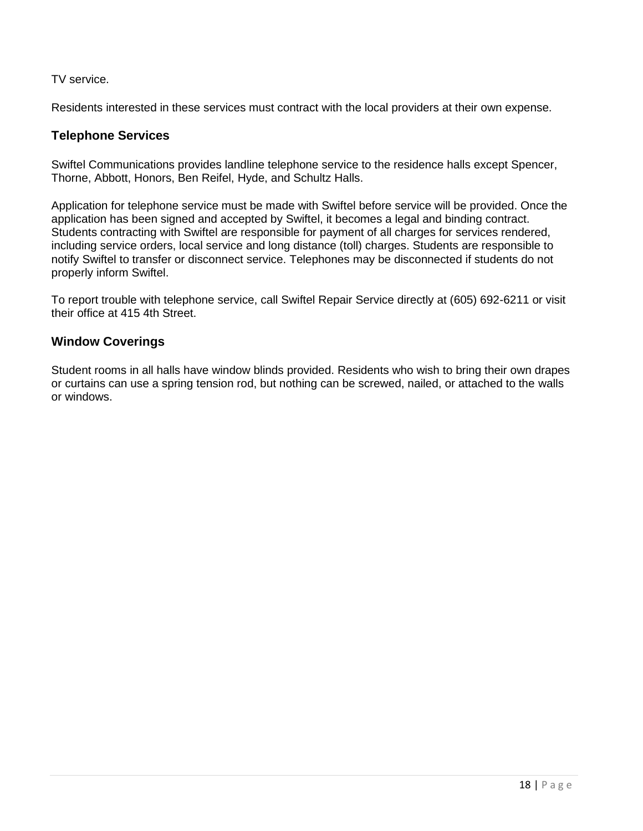#### TV service.

Residents interested in these services must contract with the local providers at their own expense.

#### <span id="page-18-0"></span>**Telephone Services**

Swiftel Communications provides landline telephone service to the residence halls except Spencer, Thorne, Abbott, Honors, Ben Reifel, Hyde, and Schultz Halls.

Application for telephone service must be made with Swiftel before service will be provided. Once the application has been signed and accepted by Swiftel, it becomes a legal and binding contract. Students contracting with Swiftel are responsible for payment of all charges for services rendered, including service orders, local service and long distance (toll) charges. Students are responsible to notify Swiftel to transfer or disconnect service. Telephones may be disconnected if students do not properly inform Swiftel.

To report trouble with telephone service, call Swiftel Repair Service directly at (605) 692-6211 or visit their office at 415 4th Street.

### <span id="page-18-1"></span>**Window Coverings**

Student rooms in all halls have window blinds provided. Residents who wish to bring their own drapes or curtains can use a spring tension rod, but nothing can be screwed, nailed, or attached to the walls or windows.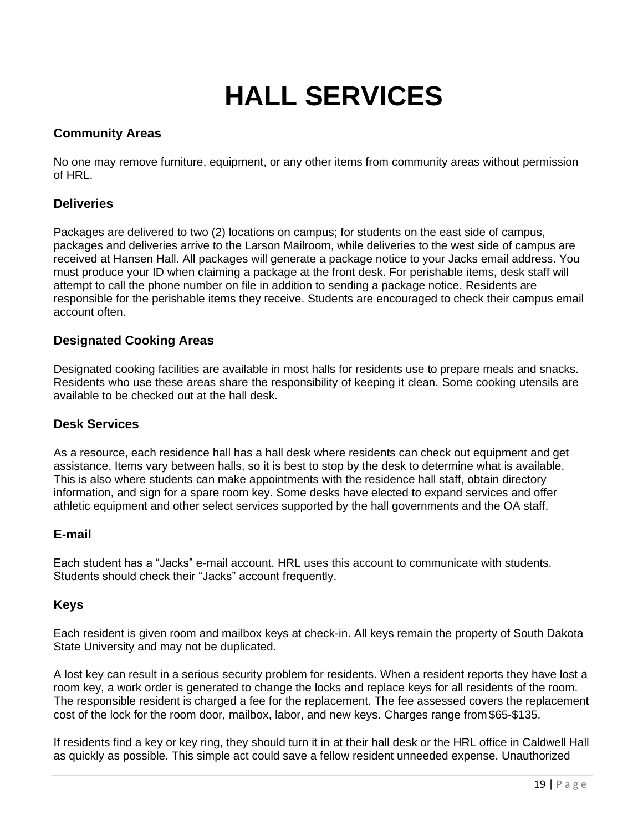## **HALL SERVICES**

### <span id="page-19-1"></span><span id="page-19-0"></span>**Community Areas**

No one may remove furniture, equipment, or any other items from community areas without permission of HRL.

### <span id="page-19-2"></span>**Deliveries**

Packages are delivered to two (2) locations on campus; for students on the east side of campus, packages and deliveries arrive to the Larson Mailroom, while deliveries to the west side of campus are received at Hansen Hall. All packages will generate a package notice to your Jacks email address. You must produce your ID when claiming a package at the front desk. For perishable items, desk staff will attempt to call the phone number on file in addition to sending a package notice. Residents are responsible for the perishable items they receive. Students are encouraged to check their campus email account often.

## <span id="page-19-3"></span>**Designated Cooking Areas**

Designated cooking facilities are available in most halls for residents use to prepare meals and snacks. Residents who use these areas share the responsibility of keeping it clean. Some cooking utensils are available to be checked out at the hall desk.

### <span id="page-19-4"></span>**Desk Services**

As a resource, each residence hall has a hall desk where residents can check out equipment and get assistance. Items vary between halls, so it is best to stop by the desk to determine what is available. This is also where students can make appointments with the residence hall staff, obtain directory information, and sign for a spare room key. Some desks have elected to expand services and offer athletic equipment and other select services supported by the hall governments and the OA staff.

### <span id="page-19-5"></span>**E-mail**

Each student has a "Jacks" e-mail account. HRL uses this account to communicate with students. Students should check their "Jacks" account frequently.

### <span id="page-19-6"></span>**Keys**

Each resident is given room and mailbox keys at check-in. All keys remain the property of South Dakota State University and may not be duplicated.

A lost key can result in a serious security problem for residents. When a resident reports they have lost a room key, a work order is generated to change the locks and replace keys for all residents of the room. The responsible resident is charged a fee for the replacement. The fee assessed covers the replacement cost of the lock for the room door, mailbox, labor, and new keys. Charges range from \$65-\$135.

If residents find a key or key ring, they should turn it in at their hall desk or the HRL office in Caldwell Hall as quickly as possible. This simple act could save a fellow resident unneeded expense. Unauthorized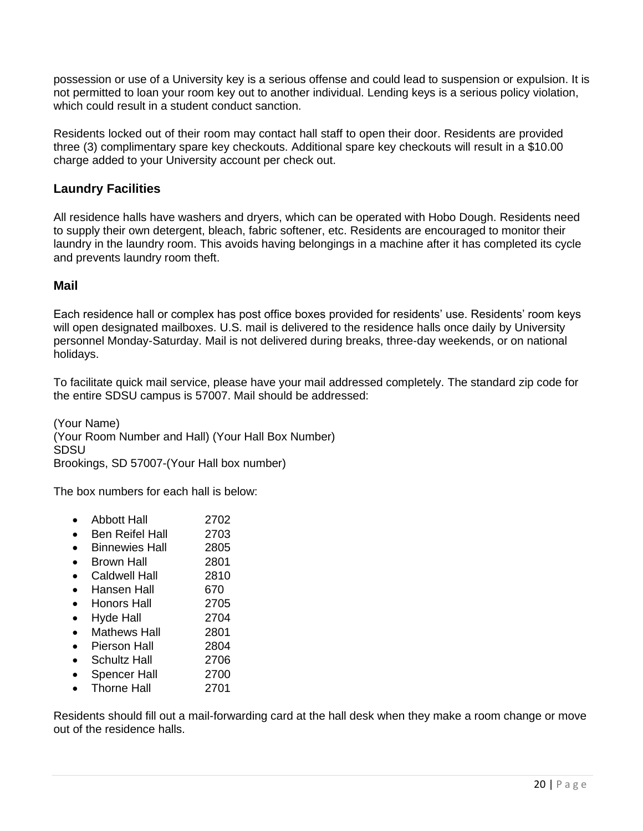possession or use of a University key is a serious offense and could lead to suspension or expulsion. It is not permitted to loan your room key out to another individual. Lending keys is a serious policy violation, which could result in a student conduct sanction.

Residents locked out of their room may contact hall staff to open their door. Residents are provided three (3) complimentary spare key checkouts. Additional spare key checkouts will result in a \$10.00 charge added to your University account per check out.

### <span id="page-20-0"></span>**Laundry Facilities**

All residence halls have washers and dryers, which can be operated with Hobo Dough. Residents need to supply their own detergent, bleach, fabric softener, etc. Residents are encouraged to monitor their laundry in the laundry room. This avoids having belongings in a machine after it has completed its cycle and prevents laundry room theft.

### <span id="page-20-1"></span>**Mail**

Each residence hall or complex has post office boxes provided for residents' use. Residents' room keys will open designated mailboxes. U.S. mail is delivered to the residence halls once daily by University personnel Monday-Saturday. Mail is not delivered during breaks, three-day weekends, or on national holidays.

To facilitate quick mail service, please have your mail addressed completely. The standard zip code for the entire SDSU campus is 57007. Mail should be addressed:

(Your Name) (Your Room Number and Hall) (Your Hall Box Number) SDSU Brookings, SD 57007-(Your Hall box number)

The box numbers for each hall is below:

| <b>Abbott Hall</b> | 2702 |
|--------------------|------|
|                    |      |

- Ben Reifel Hall 2703
- Binnewies Hall 2805
- Brown Hall 2801
- Caldwell Hall 2810
- Hansen Hall 670
- Honors Hall 2705
- Hyde Hall 2704
- Mathews Hall 2801
- Pierson Hall 2804
- Schultz Hall 2706
- Spencer Hall 2700
- Thorne Hall 2701

<span id="page-20-2"></span>Residents should fill out a mail-forwarding card at the hall desk when they make a room change or move out of the residence halls.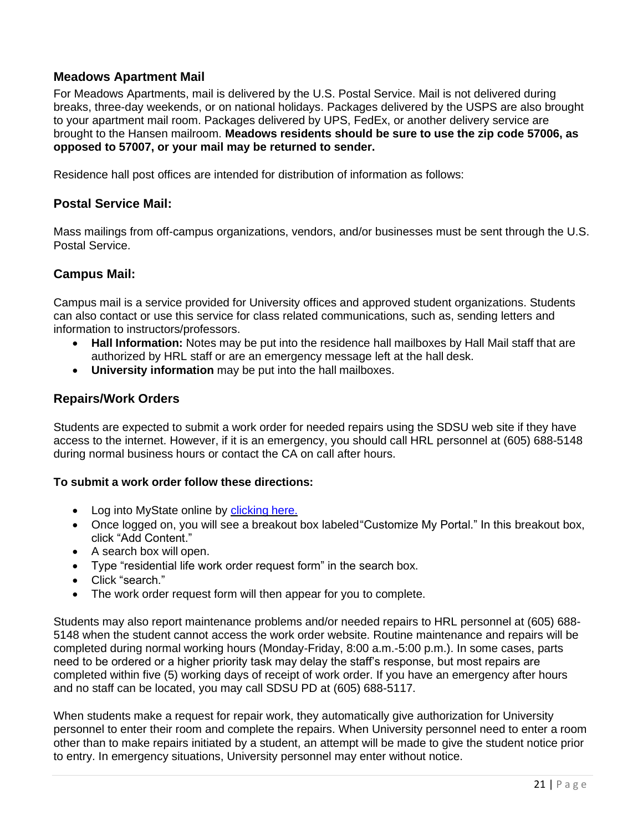### **Meadows Apartment Mail**

For Meadows Apartments, mail is delivered by the U.S. Postal Service. Mail is not delivered during breaks, three-day weekends, or on national holidays. Packages delivered by the USPS are also brought to your apartment mail room. Packages delivered by UPS, FedEx, or another delivery service are brought to the Hansen mailroom. **Meadows residents should be sure to use the zip code 57006, as opposed to 57007, or your mail may be returned to sender.**

Residence hall post offices are intended for distribution of information as follows:

#### <span id="page-21-0"></span>**Postal Service Mail:**

Mass mailings from off-campus organizations, vendors, and/or businesses must be sent through the U.S. Postal Service.

#### <span id="page-21-1"></span>**Campus Mail:**

Campus mail is a service provided for University offices and approved student organizations. Students can also contact or use this service for class related communications, such as, sending letters and information to instructors/professors.

- **Hall Information:** Notes may be put into the residence hall mailboxes by Hall Mail staff that are authorized by HRL staff or are an emergency message left at the hall desk.
- **University information** may be put into the hall mailboxes.

### <span id="page-21-2"></span>**Repairs/Work Orders**

Students are expected to submit a work order for needed repairs using the SDSU web site if they have access to the internet. However, if it is an emergency, you should call HRL personnel at (605) 688-5148 during normal business hours or contact the CA on call after hours.

#### **To submit a work order follow these directions:**

- Log into MyState online by [clicking](http://mystateonline.sdstate.edu/) here.
- Once logged on, you will see a breakout box labeled "Customize My Portal." In this breakout box, click "Add Content."
- A search box will open.
- Type "residential life work order request form" in the search box.
- Click "search."
- The work order request form will then appear for you to complete.

Students may also report maintenance problems and/or needed repairs to HRL personnel at (605) 688- 5148 when the student cannot access the work order website. Routine maintenance and repairs will be completed during normal working hours (Monday-Friday, 8:00 a.m.-5:00 p.m.). In some cases, parts need to be ordered or a higher priority task may delay the staff's response, but most repairs are completed within five (5) working days of receipt of work order. If you have an emergency after hours and no staff can be located, you may call SDSU PD at (605) 688-5117.

When students make a request for repair work, they automatically give authorization for University personnel to enter their room and complete the repairs. When University personnel need to enter a room other than to make repairs initiated by a student, an attempt will be made to give the student notice prior to entry. In emergency situations, University personnel may enter without notice.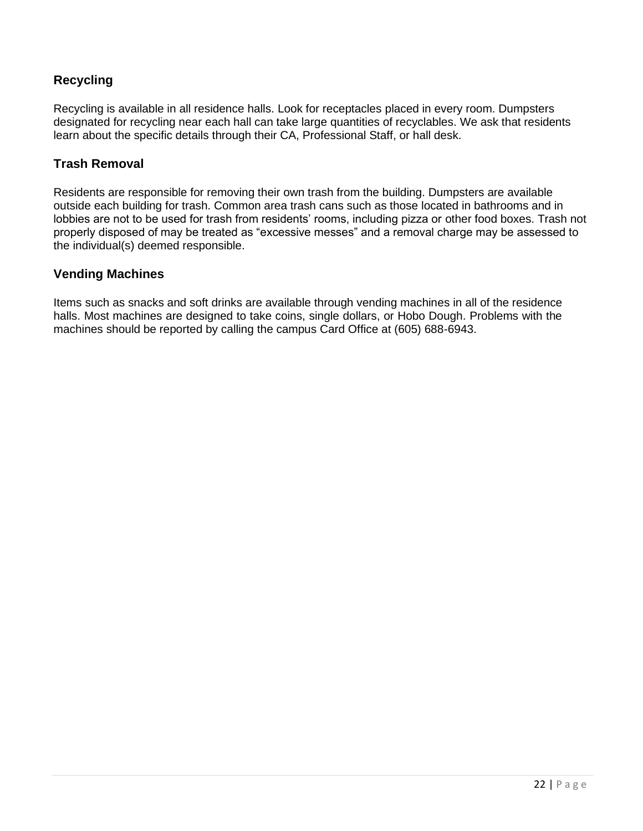## <span id="page-22-0"></span>**Recycling**

Recycling is available in all residence halls. Look for receptacles placed in every room. Dumpsters designated for recycling near each hall can take large quantities of recyclables. We ask that residents learn about the specific details through their CA, Professional Staff, or hall desk.

## <span id="page-22-1"></span>**Trash Removal**

Residents are responsible for removing their own trash from the building. Dumpsters are available outside each building for trash. Common area trash cans such as those located in bathrooms and in lobbies are not to be used for trash from residents' rooms, including pizza or other food boxes. Trash not properly disposed of may be treated as "excessive messes" and a removal charge may be assessed to the individual(s) deemed responsible.

#### <span id="page-22-2"></span>**Vending Machines**

Items such as snacks and soft drinks are available through vending machines in all of the residence halls. Most machines are designed to take coins, single dollars, or Hobo Dough. Problems with the machines should be reported by calling the campus Card Office at (605) 688-6943.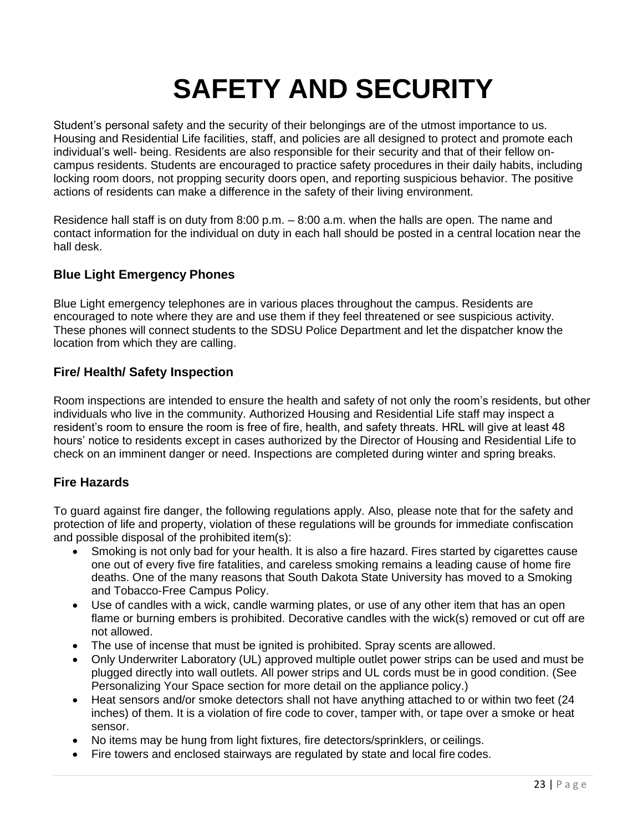## **SAFETY AND SECURITY**

<span id="page-23-0"></span>Student's personal safety and the security of their belongings are of the utmost importance to us. Housing and Residential Life facilities, staff, and policies are all designed to protect and promote each individual's well- being. Residents are also responsible for their security and that of their fellow oncampus residents. Students are encouraged to practice safety procedures in their daily habits, including locking room doors, not propping security doors open, and reporting suspicious behavior. The positive actions of residents can make a difference in the safety of their living environment.

Residence hall staff is on duty from 8:00 p.m. – 8:00 a.m. when the halls are open. The name and contact information for the individual on duty in each hall should be posted in a central location near the hall desk.

## <span id="page-23-1"></span>**Blue Light Emergency Phones**

Blue Light emergency telephones are in various places throughout the campus. Residents are encouraged to note where they are and use them if they feel threatened or see suspicious activity. These phones will connect students to the SDSU Police Department and let the dispatcher know the location from which they are calling.

## <span id="page-23-2"></span>**Fire/ Health/ Safety Inspection**

Room inspections are intended to ensure the health and safety of not only the room's residents, but other individuals who live in the community. Authorized Housing and Residential Life staff may inspect a resident's room to ensure the room is free of fire, health, and safety threats. HRL will give at least 48 hours' notice to residents except in cases authorized by the Director of Housing and Residential Life to check on an imminent danger or need. Inspections are completed during winter and spring breaks.

### <span id="page-23-3"></span>**Fire Hazards**

To guard against fire danger, the following regulations apply. Also, please note that for the safety and protection of life and property, violation of these regulations will be grounds for immediate confiscation and possible disposal of the prohibited item(s):

- Smoking is not only bad for your health. It is also a fire hazard. Fires started by cigarettes cause one out of every five fire fatalities, and careless smoking remains a leading cause of home fire deaths. One of the many reasons that South Dakota State University has moved to a Smoking and Tobacco-Free Campus Policy.
- Use of candles with a wick, candle warming plates, or use of any other item that has an open flame or burning embers is prohibited. Decorative candles with the wick(s) removed or cut off are not allowed.
- The use of incense that must be ignited is prohibited. Spray scents are allowed.
- Only Underwriter Laboratory (UL) approved multiple outlet power strips can be used and must be plugged directly into wall outlets. All power strips and UL cords must be in good condition. (See Personalizing Your Space section for more detail on the appliance policy.)
- Heat sensors and/or smoke detectors shall not have anything attached to or within two feet (24 inches) of them. It is a violation of fire code to cover, tamper with, or tape over a smoke or heat sensor.
- No items may be hung from light fixtures, fire detectors/sprinklers, or ceilings.
- Fire towers and enclosed stairways are regulated by state and local fire codes.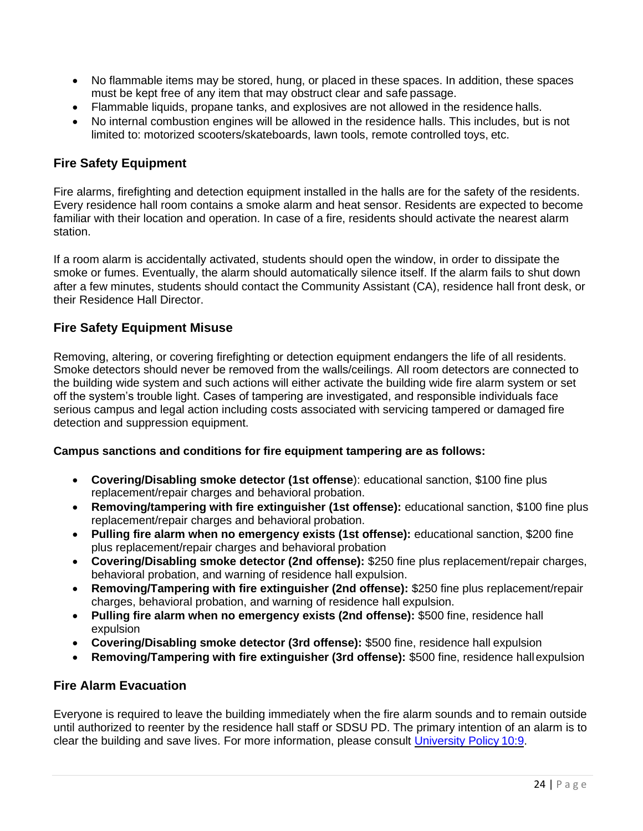- No flammable items may be stored, hung, or placed in these spaces. In addition, these spaces must be kept free of any item that may obstruct clear and safe passage.
- Flammable liquids, propane tanks, and explosives are not allowed in the residence halls.
- No internal combustion engines will be allowed in the residence halls. This includes, but is not limited to: motorized scooters/skateboards, lawn tools, remote controlled toys, etc.

### <span id="page-24-0"></span>**Fire Safety Equipment**

Fire alarms, firefighting and detection equipment installed in the halls are for the safety of the residents. Every residence hall room contains a smoke alarm and heat sensor. Residents are expected to become familiar with their location and operation. In case of a fire, residents should activate the nearest alarm station.

If a room alarm is accidentally activated, students should open the window, in order to dissipate the smoke or fumes. Eventually, the alarm should automatically silence itself. If the alarm fails to shut down after a few minutes, students should contact the Community Assistant (CA), residence hall front desk, or their Residence Hall Director.

## <span id="page-24-1"></span>**Fire Safety Equipment Misuse**

Removing, altering, or covering firefighting or detection equipment endangers the life of all residents. Smoke detectors should never be removed from the walls/ceilings. All room detectors are connected to the building wide system and such actions will either activate the building wide fire alarm system or set off the system's trouble light. Cases of tampering are investigated, and responsible individuals face serious campus and legal action including costs associated with servicing tampered or damaged fire detection and suppression equipment.

#### **Campus sanctions and conditions for fire equipment tampering are as follows:**

- **Covering/Disabling smoke detector (1st offense**): educational sanction, \$100 fine plus replacement/repair charges and behavioral probation.
- **Removing/tampering with fire extinguisher (1st offense):** educational sanction, \$100 fine plus replacement/repair charges and behavioral probation.
- **Pulling fire alarm when no emergency exists (1st offense):** educational sanction, \$200 fine plus replacement/repair charges and behavioral probation
- **Covering/Disabling smoke detector (2nd offense):** \$250 fine plus replacement/repair charges, behavioral probation, and warning of residence hall expulsion.
- **Removing/Tampering with fire extinguisher (2nd offense):** \$250 fine plus replacement/repair charges, behavioral probation, and warning of residence hall expulsion.
- **Pulling fire alarm when no emergency exists (2nd offense):** \$500 fine, residence hall expulsion
- **Covering/Disabling smoke detector (3rd offense):** \$500 fine, residence hall expulsion
- **Removing/Tampering with fire extinguisher (3rd offense):** \$500 fine, residence hallexpulsion

### <span id="page-24-2"></span>**Fire Alarm Evacuation**

Everyone is required to leave the building immediately when the fire alarm sounds and to remain outside until authorized to reenter by the residence hall staff or SDSU PD. The primary intention of an alarm is to clear the building and save lives. For more information, please consult [University Policy](https://www.sdstate.edu/sites/default/files/2017-10/fire_alarm_policy.pdf) 10:9.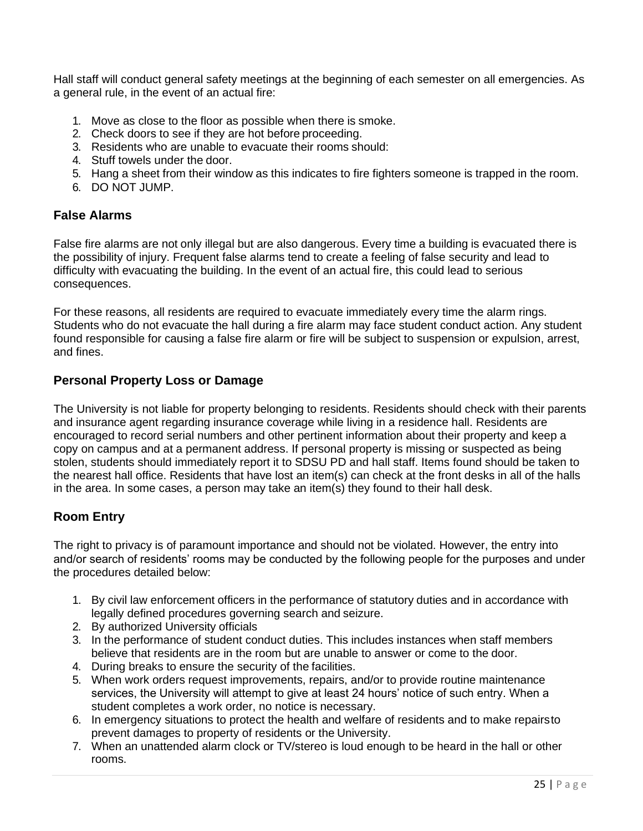Hall staff will conduct general safety meetings at the beginning of each semester on all emergencies. As a general rule, in the event of an actual fire:

- 1. Move as close to the floor as possible when there is smoke.
- 2. Check doors to see if they are hot before proceeding.
- 3. Residents who are unable to evacuate their rooms should:
- 4. Stuff towels under the door.
- 5. Hang a sheet from their window as this indicates to fire fighters someone is trapped in the room.
- 6. DO NOT JUMP.

### <span id="page-25-0"></span>**False Alarms**

False fire alarms are not only illegal but are also dangerous. Every time a building is evacuated there is the possibility of injury. Frequent false alarms tend to create a feeling of false security and lead to difficulty with evacuating the building. In the event of an actual fire, this could lead to serious consequences.

For these reasons, all residents are required to evacuate immediately every time the alarm rings. Students who do not evacuate the hall during a fire alarm may face student conduct action. Any student found responsible for causing a false fire alarm or fire will be subject to suspension or expulsion, arrest, and fines.

## <span id="page-25-1"></span>**Personal Property Loss or Damage**

The University is not liable for property belonging to residents. Residents should check with their parents and insurance agent regarding insurance coverage while living in a residence hall. Residents are encouraged to record serial numbers and other pertinent information about their property and keep a copy on campus and at a permanent address. If personal property is missing or suspected as being stolen, students should immediately report it to SDSU PD and hall staff. Items found should be taken to the nearest hall office. Residents that have lost an item(s) can check at the front desks in all of the halls in the area. In some cases, a person may take an item(s) they found to their hall desk.

## <span id="page-25-2"></span>**Room Entry**

The right to privacy is of paramount importance and should not be violated. However, the entry into and/or search of residents' rooms may be conducted by the following people for the purposes and under the procedures detailed below:

- 1. By civil law enforcement officers in the performance of statutory duties and in accordance with legally defined procedures governing search and seizure.
- 2. By authorized University officials
- 3. In the performance of student conduct duties. This includes instances when staff members believe that residents are in the room but are unable to answer or come to the door.
- 4. During breaks to ensure the security of the facilities.
- 5. When work orders request improvements, repairs, and/or to provide routine maintenance services, the University will attempt to give at least 24 hours' notice of such entry. When a student completes a work order, no notice is necessary.
- 6. In emergency situations to protect the health and welfare of residents and to make repairsto prevent damages to property of residents or the University.
- 7. When an unattended alarm clock or TV/stereo is loud enough to be heard in the hall or other rooms.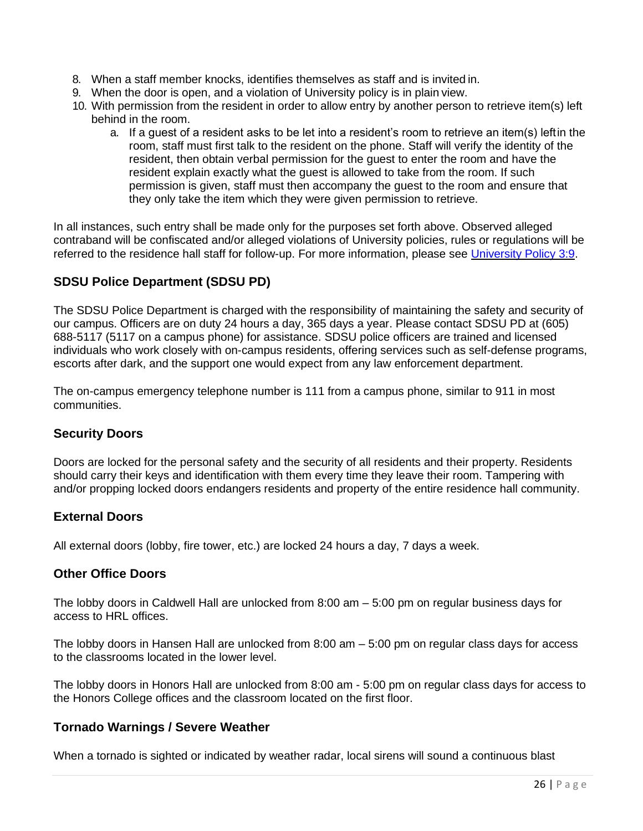- 8. When a staff member knocks, identifies themselves as staff and is invited in.
- 9. When the door is open, and a violation of University policy is in plain view.
- 10. With permission from the resident in order to allow entry by another person to retrieve item(s) left behind in the room.
	- a. If a guest of a resident asks to be let into a resident's room to retrieve an item(s) leftin the room, staff must first talk to the resident on the phone. Staff will verify the identity of the resident, then obtain verbal permission for the guest to enter the room and have the resident explain exactly what the guest is allowed to take from the room. If such permission is given, staff must then accompany the guest to the room and ensure that they only take the item which they were given permission to retrieve.

In all instances, such entry shall be made only for the purposes set forth above. Observed alleged contraband will be confiscated and/or alleged violations of University policies, rules or regulations will be referred to the residence hall staff for follow-up. For more information, please see [University Policy 3:9.](https://www.sdstate.edu/sites/default/files/2017-12/entry_search_and_seizure.pdf)

## <span id="page-26-0"></span>**SDSU Police Department (SDSU PD)**

The SDSU Police Department is charged with the responsibility of maintaining the safety and security of our campus. Officers are on duty 24 hours a day, 365 days a year. Please contact SDSU PD at (605) 688-5117 (5117 on a campus phone) for assistance. SDSU police officers are trained and licensed individuals who work closely with on-campus residents, offering services such as self-defense programs, escorts after dark, and the support one would expect from any law enforcement department.

The on-campus emergency telephone number is 111 from a campus phone, similar to 911 in most communities.

### <span id="page-26-1"></span>**Security Doors**

Doors are locked for the personal safety and the security of all residents and their property. Residents should carry their keys and identification with them every time they leave their room. Tampering with and/or propping locked doors endangers residents and property of the entire residence hall community.

### <span id="page-26-2"></span>**External Doors**

All external doors (lobby, fire tower, etc.) are locked 24 hours a day, 7 days a week.

### <span id="page-26-3"></span>**Other Office Doors**

The lobby doors in Caldwell Hall are unlocked from 8:00 am – 5:00 pm on regular business days for access to HRL offices.

The lobby doors in Hansen Hall are unlocked from 8:00 am – 5:00 pm on regular class days for access to the classrooms located in the lower level.

The lobby doors in Honors Hall are unlocked from 8:00 am - 5:00 pm on regular class days for access to the Honors College offices and the classroom located on the first floor.

### <span id="page-26-4"></span>**Tornado Warnings / Severe Weather**

When a tornado is sighted or indicated by weather radar, local sirens will sound a continuous blast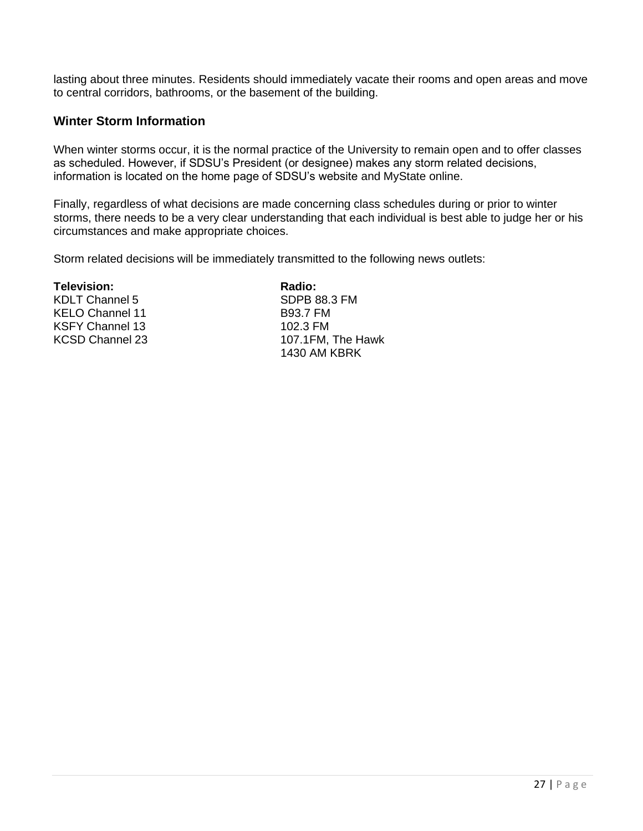lasting about three minutes. Residents should immediately vacate their rooms and open areas and move to central corridors, bathrooms, or the basement of the building.

#### <span id="page-27-0"></span>**Winter Storm Information**

When winter storms occur, it is the normal practice of the University to remain open and to offer classes as scheduled. However, if SDSU's President (or designee) makes any storm related decisions, information is located on the home page of SDSU's website and MyState online.

Finally, regardless of what decisions are made concerning class schedules during or prior to winter storms, there needs to be a very clear understanding that each individual is best able to judge her or his circumstances and make appropriate choices.

Storm related decisions will be immediately transmitted to the following news outlets:

**Television: Radio:**

KELO Channel 11 B93.7 FM KSFY Channel 13 102.3 FM

KDLT Channel 5 SDPB 88.3 FM KCSD Channel 23 107.1FM, The Hawk 1430 AM KBRK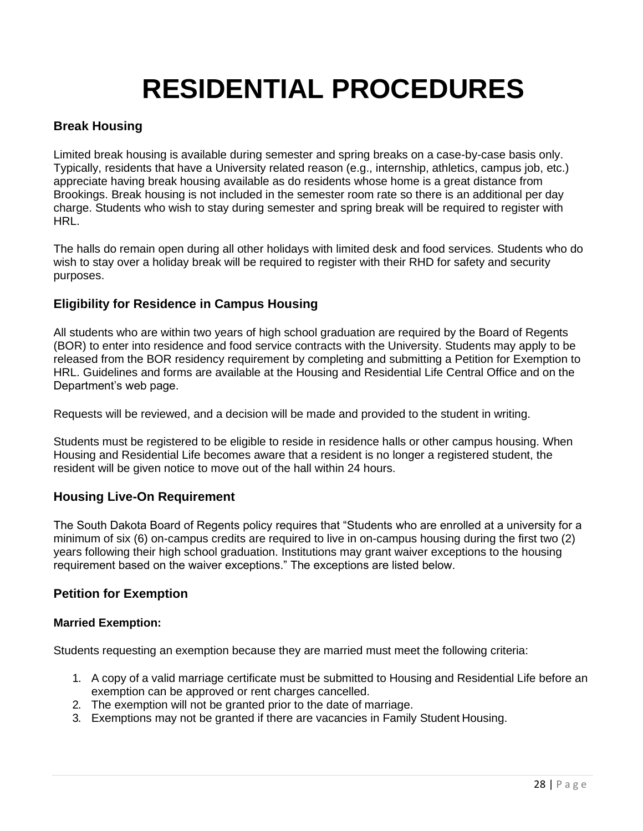## **RESIDENTIAL PROCEDURES**

### <span id="page-28-1"></span><span id="page-28-0"></span>**Break Housing**

Limited break housing is available during semester and spring breaks on a case-by-case basis only. Typically, residents that have a University related reason (e.g., internship, athletics, campus job, etc.) appreciate having break housing available as do residents whose home is a great distance from Brookings. Break housing is not included in the semester room rate so there is an additional per day charge. Students who wish to stay during semester and spring break will be required to register with HRL.

The halls do remain open during all other holidays with limited desk and food services. Students who do wish to stay over a holiday break will be required to register with their RHD for safety and security purposes.

### <span id="page-28-2"></span>**Eligibility for Residence in Campus Housing**

All students who are within two years of high school graduation are required by the Board of Regents (BOR) to enter into residence and food service contracts with the University. Students may apply to be released from the BOR residency requirement by completing and submitting a Petition for Exemption to HRL. Guidelines and forms are available at the Housing and Residential Life Central Office and on the Department's web page.

Requests will be reviewed, and a decision will be made and provided to the student in writing.

Students must be registered to be eligible to reside in residence halls or other campus housing. When Housing and Residential Life becomes aware that a resident is no longer a registered student, the resident will be given notice to move out of the hall within 24 hours.

### <span id="page-28-3"></span>**Housing Live-On Requirement**

The South Dakota Board of Regents policy requires that "Students who are enrolled at a university for a minimum of six (6) on-campus credits are required to live in on-campus housing during the first two (2) years following their high school graduation. Institutions may grant waiver exceptions to the housing requirement based on the waiver exceptions." The exceptions are listed below.

### <span id="page-28-4"></span>**Petition for Exemption**

#### <span id="page-28-5"></span>**Married Exemption:**

Students requesting an exemption because they are married must meet the following criteria:

- 1. A copy of a valid marriage certificate must be submitted to Housing and Residential Life before an exemption can be approved or rent charges cancelled.
- 2. The exemption will not be granted prior to the date of marriage.
- 3. Exemptions may not be granted if there are vacancies in Family Student Housing.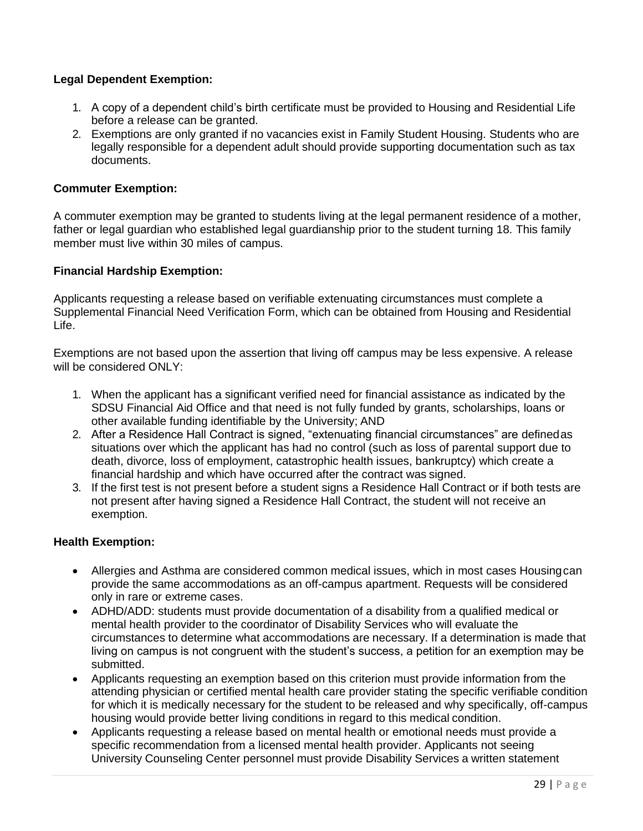#### **Legal Dependent Exemption:**

- 1. A copy of a dependent child's birth certificate must be provided to Housing and Residential Life before a release can be granted.
- 2. Exemptions are only granted if no vacancies exist in Family Student Housing. Students who are legally responsible for a dependent adult should provide supporting documentation such as tax documents.

#### <span id="page-29-0"></span>**Commuter Exemption:**

A commuter exemption may be granted to students living at the legal permanent residence of a mother, father or legal guardian who established legal guardianship prior to the student turning 18. This family member must live within 30 miles of campus.

#### <span id="page-29-1"></span>**Financial Hardship Exemption:**

Applicants requesting a release based on verifiable extenuating circumstances must complete a Supplemental Financial Need Verification Form, which can be obtained from Housing and Residential Life.

Exemptions are not based upon the assertion that living off campus may be less expensive. A release will be considered ONLY:

- 1. When the applicant has a significant verified need for financial assistance as indicated by the SDSU Financial Aid Office and that need is not fully funded by grants, scholarships, loans or other available funding identifiable by the University; AND
- 2. After a Residence Hall Contract is signed, "extenuating financial circumstances" are definedas situations over which the applicant has had no control (such as loss of parental support due to death, divorce, loss of employment, catastrophic health issues, bankruptcy) which create a financial hardship and which have occurred after the contract was signed.
- 3. If the first test is not present before a student signs a Residence Hall Contract or if both tests are not present after having signed a Residence Hall Contract, the student will not receive an exemption.

#### <span id="page-29-2"></span>**Health Exemption:**

- Allergies and Asthma are considered common medical issues, which in most cases Housingcan provide the same accommodations as an off-campus apartment. Requests will be considered only in rare or extreme cases.
- ADHD/ADD: students must provide documentation of a disability from a qualified medical or mental health provider to the coordinator of Disability Services who will evaluate the circumstances to determine what accommodations are necessary. If a determination is made that living on campus is not congruent with the student's success, a petition for an exemption may be submitted.
- Applicants requesting an exemption based on this criterion must provide information from the attending physician or certified mental health care provider stating the specific verifiable condition for which it is medically necessary for the student to be released and why specifically, off-campus housing would provide better living conditions in regard to this medical condition.
- Applicants requesting a release based on mental health or emotional needs must provide a specific recommendation from a licensed mental health provider. Applicants not seeing University Counseling Center personnel must provide Disability Services a written statement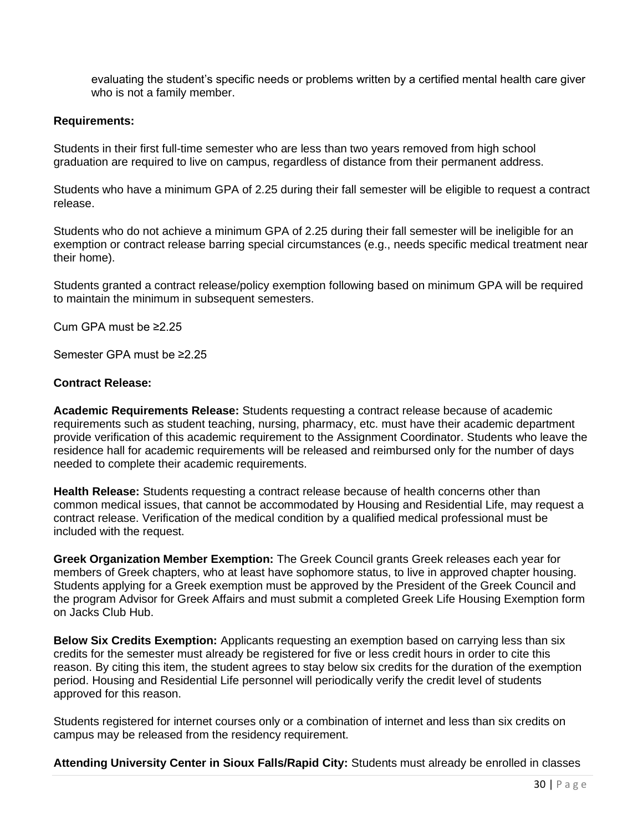evaluating the student's specific needs or problems written by a certified mental health care giver who is not a family member.

#### <span id="page-30-0"></span>**Requirements:**

Students in their first full-time semester who are less than two years removed from high school graduation are required to live on campus, regardless of distance from their permanent address.

Students who have a minimum GPA of 2.25 during their fall semester will be eligible to request a contract release.

Students who do not achieve a minimum GPA of 2.25 during their fall semester will be ineligible for an exemption or contract release barring special circumstances (e.g., needs specific medical treatment near their home).

Students granted a contract release/policy exemption following based on minimum GPA will be required to maintain the minimum in subsequent semesters.

Cum GPA must be ≥2.25

<span id="page-30-1"></span>Semester GPA must be ≥2.25

#### **Contract Release:**

**Academic Requirements Release:** Students requesting a contract release because of academic requirements such as student teaching, nursing, pharmacy, etc. must have their academic department provide verification of this academic requirement to the Assignment Coordinator. Students who leave the residence hall for academic requirements will be released and reimbursed only for the number of days needed to complete their academic requirements.

**Health Release:** Students requesting a contract release because of health concerns other than common medical issues, that cannot be accommodated by Housing and Residential Life, may request a contract release. Verification of the medical condition by a qualified medical professional must be included with the request.

**Greek Organization Member Exemption:** The Greek Council grants Greek releases each year for members of Greek chapters, who at least have sophomore status, to live in approved chapter housing. Students applying for a Greek exemption must be approved by the President of the Greek Council and the program Advisor for Greek Affairs and must submit a completed Greek Life Housing Exemption form on Jacks Club Hub.

**Below Six Credits Exemption:** Applicants requesting an exemption based on carrying less than six credits for the semester must already be registered for five or less credit hours in order to cite this reason. By citing this item, the student agrees to stay below six credits for the duration of the exemption period. Housing and Residential Life personnel will periodically verify the credit level of students approved for this reason.

Students registered for internet courses only or a combination of internet and less than six credits on campus may be released from the residency requirement.

**Attending University Center in Sioux Falls/Rapid City:** Students must already be enrolled in classes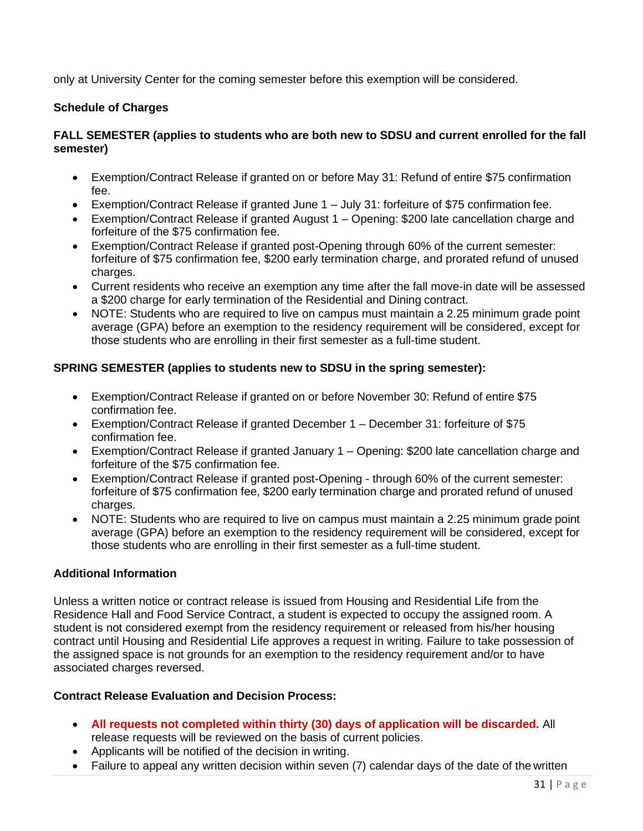only at University Center for the coming semester before this exemption will be considered.

#### <span id="page-31-0"></span>**Schedule of Charges**

#### **FALL SEMESTER (applies to students who are both new to SDSU and current enrolled for the fall semester)**

- Exemption/Contract Release if granted on or before May 31: Refund of entire \$75 confirmation fee.
- Exemption/Contract Release if granted June 1 July 31: forfeiture of \$75 confirmation fee.
- Exemption/Contract Release if granted August 1 Opening: \$200 late cancellation charge and forfeiture of the \$75 confirmation fee.
- Exemption/Contract Release if granted post-Opening through 60% of the current semester: forfeiture of \$75 confirmation fee, \$200 early termination charge, and prorated refund of unused charges.
- Current residents who receive an exemption any time after the fall move-in date will be assessed a \$200 charge for early termination of the Residential and Dining contract.
- NOTE: Students who are required to live on campus must maintain a 2.25 minimum grade point average (GPA) before an exemption to the residency requirement will be considered, except for those students who are enrolling in their first semester as a full-time student.

#### **SPRING SEMESTER (applies to students new to SDSU in the spring semester):**

- Exemption/Contract Release if granted on or before November 30: Refund of entire \$75 confirmation fee.
- Exemption/Contract Release if granted December 1 December 31: forfeiture of \$75 confirmation fee.
- Exemption/Contract Release if granted January 1 Opening: \$200 late cancellation charge and forfeiture of the \$75 confirmation fee.
- Exemption/Contract Release if granted post-Opening through 60% of the current semester: forfeiture of \$75 confirmation fee, \$200 early termination charge and prorated refund of unused charges.
- NOTE: Students who are required to live on campus must maintain a 2.25 minimum grade point average (GPA) before an exemption to the residency requirement will be considered, except for those students who are enrolling in their first semester as a full-time student.

### <span id="page-31-1"></span>**Additional Information**

Unless a written notice or contract release is issued from Housing and Residential Life from the Residence Hall and Food Service Contract, a student is expected to occupy the assigned room. A student is not considered exempt from the residency requirement or released from his/her housing contract until Housing and Residential Life approves a request in writing. Failure to take possession of the assigned space is not grounds for an exemption to the residency requirement and/or to have associated charges reversed.

#### <span id="page-31-2"></span>**Contract Release Evaluation and Decision Process:**

- **All requests not completed within thirty (30) days of application will be discarded.** All release requests will be reviewed on the basis of current policies.
- Applicants will be notified of the decision in writing.
- Failure to appeal any written decision within seven (7) calendar days of the date of the written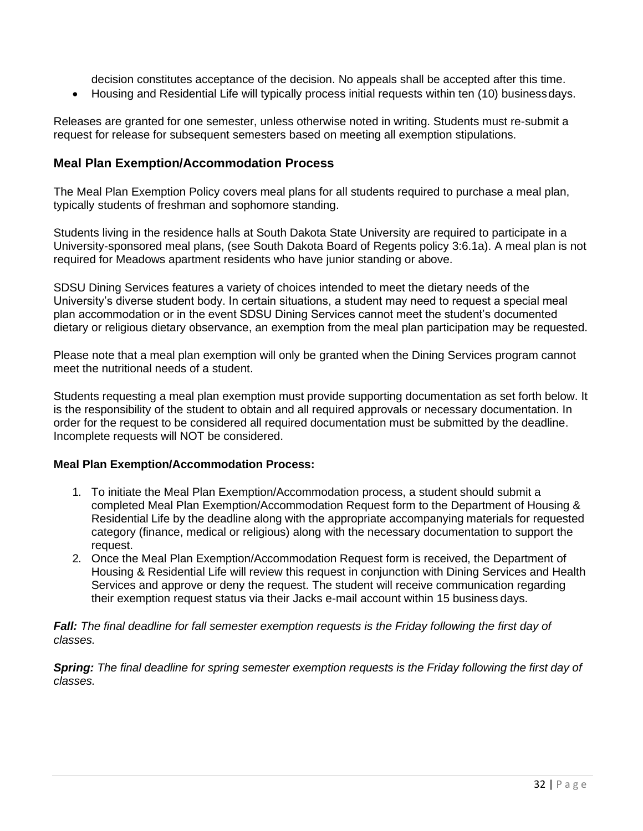decision constitutes acceptance of the decision. No appeals shall be accepted after this time.

<span id="page-32-1"></span>• Housing and Residential Life will typically process initial requests within ten (10) businessdays.

Releases are granted for one semester, unless otherwise noted in writing. Students must re-submit a request for release for subsequent semesters based on meeting all exemption stipulations.

#### <span id="page-32-0"></span>**Meal Plan Exemption/Accommodation Process**

The Meal Plan Exemption Policy covers meal plans for all students required to purchase a meal plan, typically students of freshman and sophomore standing.

Students living in the residence halls at South Dakota State University are required to participate in a University-sponsored meal plans, (see South Dakota Board of Regents policy 3:6.1a). A meal plan is not required for Meadows apartment residents who have junior standing or above.

SDSU Dining Services features a variety of choices intended to meet the dietary needs of the University's diverse student body. In certain situations, a student may need to request a special meal plan accommodation or in the event SDSU Dining Services cannot meet the student's documented dietary or religious dietary observance, an exemption from the meal plan participation may be requested.

Please note that a meal plan exemption will only be granted when the Dining Services program cannot meet the nutritional needs of a student.

Students requesting a meal plan exemption must provide supporting documentation as set forth below. It is the responsibility of the student to obtain and all required approvals or necessary documentation. In order for the request to be considered all required documentation must be submitted by the deadline. Incomplete requests will NOT be considered.

#### **Meal Plan Exemption/Accommodation Process:**

- 1. To initiate the Meal Plan Exemption/Accommodation process, a student should submit a completed Meal Plan Exemption/Accommodation Request form to the Department of Housing & Residential Life by the deadline along with the appropriate accompanying materials for requested category (finance, medical or religious) along with the necessary documentation to support the request.
- 2. Once the Meal Plan Exemption/Accommodation Request form is received, the Department of Housing & Residential Life will review this request in conjunction with Dining Services and Health Services and approve or deny the request. The student will receive communication regarding their exemption request status via their Jacks e-mail account within 15 business days.

*Fall: The final deadline for fall semester exemption requests is the Friday following the first day of classes.*

**Spring:** The final deadline for spring semester exemption requests is the Friday following the first day of *classes.*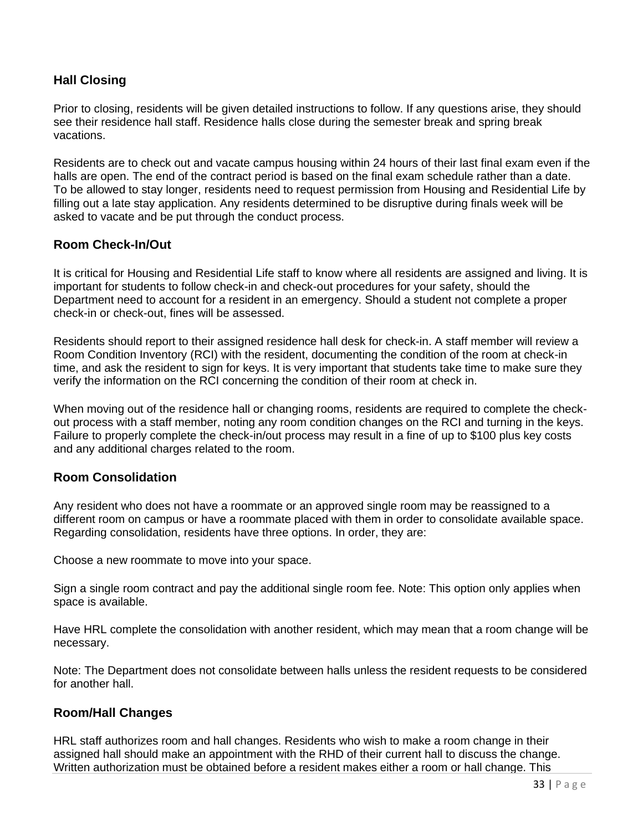## **Hall Closing**

Prior to closing, residents will be given detailed instructions to follow. If any questions arise, they should see their residence hall staff. Residence halls close during the semester break and spring break vacations.

Residents are to check out and vacate campus housing within 24 hours of their last final exam even if the halls are open. The end of the contract period is based on the final exam schedule rather than a date. To be allowed to stay longer, residents need to request permission from Housing and Residential Life by filling out a late stay application. Any residents determined to be disruptive during finals week will be asked to vacate and be put through the conduct process.

### <span id="page-33-0"></span>**Room Check-In/Out**

It is critical for Housing and Residential Life staff to know where all residents are assigned and living. It is important for students to follow check-in and check-out procedures for your safety, should the Department need to account for a resident in an emergency. Should a student not complete a proper check-in or check-out, fines will be assessed.

Residents should report to their assigned residence hall desk for check-in. A staff member will review a Room Condition Inventory (RCI) with the resident, documenting the condition of the room at check-in time, and ask the resident to sign for keys. It is very important that students take time to make sure they verify the information on the RCI concerning the condition of their room at check in.

When moving out of the residence hall or changing rooms, residents are required to complete the checkout process with a staff member, noting any room condition changes on the RCI and turning in the keys. Failure to properly complete the check-in/out process may result in a fine of up to \$100 plus key costs and any additional charges related to the room.

### <span id="page-33-1"></span>**Room Consolidation**

Any resident who does not have a roommate or an approved single room may be reassigned to a different room on campus or have a roommate placed with them in order to consolidate available space. Regarding consolidation, residents have three options. In order, they are:

Choose a new roommate to move into your space.

Sign a single room contract and pay the additional single room fee. Note: This option only applies when space is available.

Have HRL complete the consolidation with another resident, which may mean that a room change will be necessary.

Note: The Department does not consolidate between halls unless the resident requests to be considered for another hall

### <span id="page-33-2"></span>**Room/Hall Changes**

HRL staff authorizes room and hall changes. Residents who wish to make a room change in their assigned hall should make an appointment with the RHD of their current hall to discuss the change. Written authorization must be obtained before a resident makes either a room or hall change. This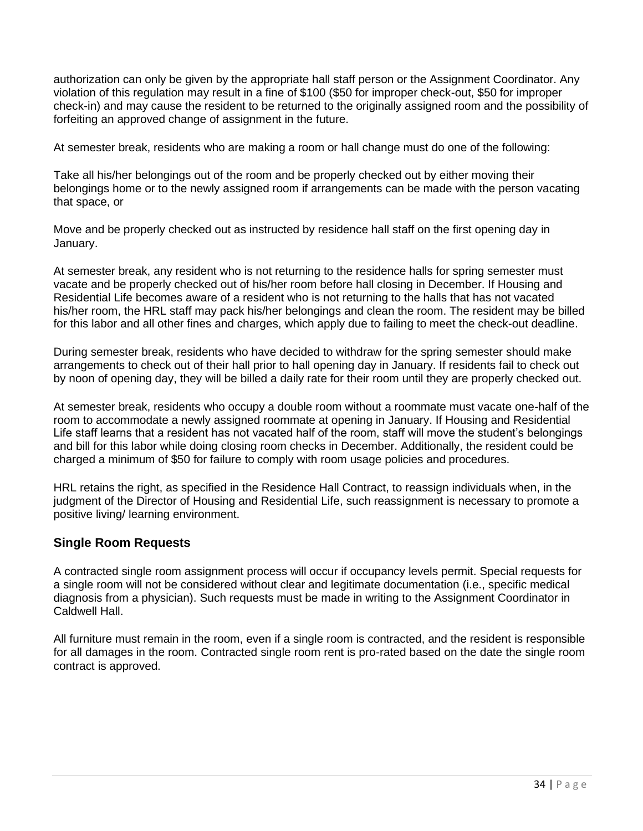authorization can only be given by the appropriate hall staff person or the Assignment Coordinator. Any violation of this regulation may result in a fine of \$100 (\$50 for improper check-out, \$50 for improper check-in) and may cause the resident to be returned to the originally assigned room and the possibility of forfeiting an approved change of assignment in the future.

At semester break, residents who are making a room or hall change must do one of the following:

Take all his/her belongings out of the room and be properly checked out by either moving their belongings home or to the newly assigned room if arrangements can be made with the person vacating that space, or

Move and be properly checked out as instructed by residence hall staff on the first opening day in January.

At semester break, any resident who is not returning to the residence halls for spring semester must vacate and be properly checked out of his/her room before hall closing in December. If Housing and Residential Life becomes aware of a resident who is not returning to the halls that has not vacated his/her room, the HRL staff may pack his/her belongings and clean the room. The resident may be billed for this labor and all other fines and charges, which apply due to failing to meet the check-out deadline.

During semester break, residents who have decided to withdraw for the spring semester should make arrangements to check out of their hall prior to hall opening day in January. If residents fail to check out by noon of opening day, they will be billed a daily rate for their room until they are properly checked out.

At semester break, residents who occupy a double room without a roommate must vacate one-half of the room to accommodate a newly assigned roommate at opening in January. If Housing and Residential Life staff learns that a resident has not vacated half of the room, staff will move the student's belongings and bill for this labor while doing closing room checks in December. Additionally, the resident could be charged a minimum of \$50 for failure to comply with room usage policies and procedures.

HRL retains the right, as specified in the Residence Hall Contract, to reassign individuals when, in the judgment of the Director of Housing and Residential Life, such reassignment is necessary to promote a positive living/ learning environment.

### <span id="page-34-0"></span>**Single Room Requests**

A contracted single room assignment process will occur if occupancy levels permit. Special requests for a single room will not be considered without clear and legitimate documentation (i.e., specific medical diagnosis from a physician). Such requests must be made in writing to the Assignment Coordinator in Caldwell Hall.

All furniture must remain in the room, even if a single room is contracted, and the resident is responsible for all damages in the room. Contracted single room rent is pro-rated based on the date the single room contract is approved.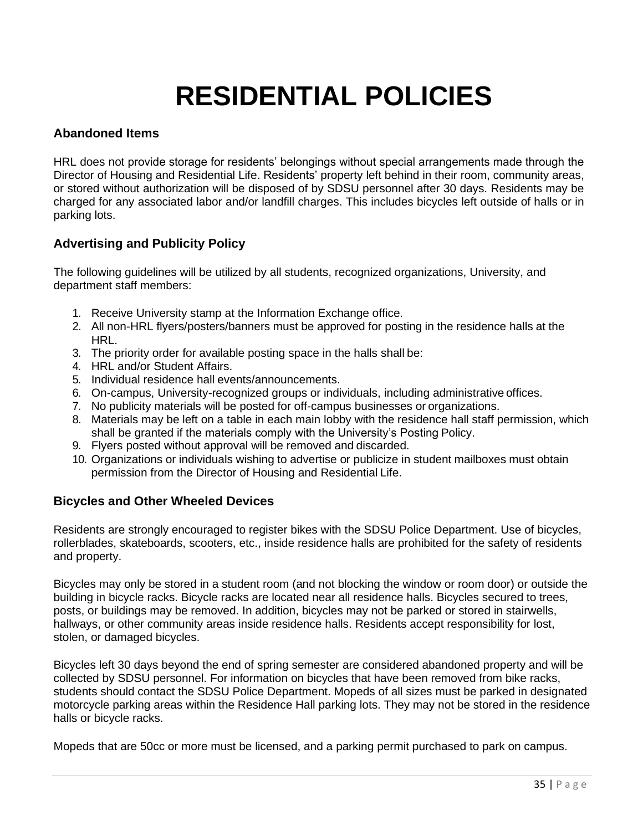## **RESIDENTIAL POLICIES**

### <span id="page-35-1"></span><span id="page-35-0"></span>**Abandoned Items**

HRL does not provide storage for residents' belongings without special arrangements made through the Director of Housing and Residential Life. Residents' property left behind in their room, community areas, or stored without authorization will be disposed of by SDSU personnel after 30 days. Residents may be charged for any associated labor and/or landfill charges. This includes bicycles left outside of halls or in parking lots.

## <span id="page-35-2"></span>**Advertising and Publicity Policy**

The following guidelines will be utilized by all students, recognized organizations, University, and department staff members:

- 1. Receive University stamp at the Information Exchange office.
- 2. All non-HRL flyers/posters/banners must be approved for posting in the residence halls at the HRL.
- 3. The priority order for available posting space in the halls shall be:
- 4. HRL and/or Student Affairs.
- 5. Individual residence hall events/announcements.
- 6. On-campus, University-recognized groups or individuals, including administrative offices.
- 7. No publicity materials will be posted for off-campus businesses or organizations.
- 8. Materials may be left on a table in each main lobby with the residence hall staff permission, which shall be granted if the materials comply with the University's Posting Policy.
- 9. Flyers posted without approval will be removed and discarded.
- 10. Organizations or individuals wishing to advertise or publicize in student mailboxes must obtain permission from the Director of Housing and Residential Life.

### <span id="page-35-3"></span>**Bicycles and Other Wheeled Devices**

Residents are strongly encouraged to register bikes with the SDSU Police Department. Use of bicycles, rollerblades, skateboards, scooters, etc., inside residence halls are prohibited for the safety of residents and property.

Bicycles may only be stored in a student room (and not blocking the window or room door) or outside the building in bicycle racks. Bicycle racks are located near all residence halls. Bicycles secured to trees, posts, or buildings may be removed. In addition, bicycles may not be parked or stored in stairwells, hallways, or other community areas inside residence halls. Residents accept responsibility for lost, stolen, or damaged bicycles.

Bicycles left 30 days beyond the end of spring semester are considered abandoned property and will be collected by SDSU personnel. For information on bicycles that have been removed from bike racks, students should contact the SDSU Police Department. Mopeds of all sizes must be parked in designated motorcycle parking areas within the Residence Hall parking lots. They may not be stored in the residence halls or bicycle racks.

Mopeds that are 50cc or more must be licensed, and a parking permit purchased to park on campus.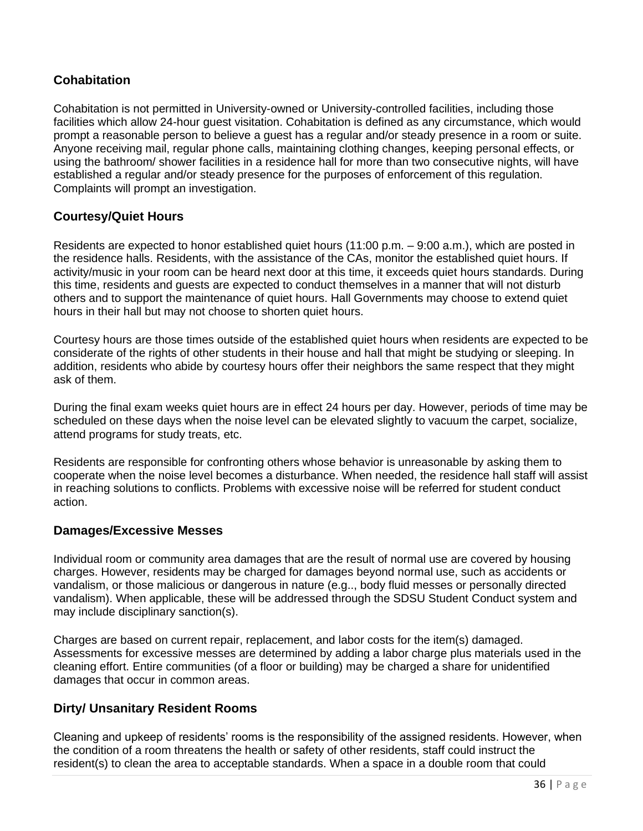## <span id="page-36-0"></span>**Cohabitation**

Cohabitation is not permitted in University-owned or University-controlled facilities, including those facilities which allow 24-hour guest visitation. Cohabitation is defined as any circumstance, which would prompt a reasonable person to believe a guest has a regular and/or steady presence in a room or suite. Anyone receiving mail, regular phone calls, maintaining clothing changes, keeping personal effects, or using the bathroom/ shower facilities in a residence hall for more than two consecutive nights, will have established a regular and/or steady presence for the purposes of enforcement of this regulation. Complaints will prompt an investigation.

## <span id="page-36-1"></span>**Courtesy/Quiet Hours**

Residents are expected to honor established quiet hours (11:00 p.m. – 9:00 a.m.), which are posted in the residence halls. Residents, with the assistance of the CAs, monitor the established quiet hours. If activity/music in your room can be heard next door at this time, it exceeds quiet hours standards. During this time, residents and guests are expected to conduct themselves in a manner that will not disturb others and to support the maintenance of quiet hours. Hall Governments may choose to extend quiet hours in their hall but may not choose to shorten quiet hours.

Courtesy hours are those times outside of the established quiet hours when residents are expected to be considerate of the rights of other students in their house and hall that might be studying or sleeping. In addition, residents who abide by courtesy hours offer their neighbors the same respect that they might ask of them.

During the final exam weeks quiet hours are in effect 24 hours per day. However, periods of time may be scheduled on these days when the noise level can be elevated slightly to vacuum the carpet, socialize, attend programs for study treats, etc.

Residents are responsible for confronting others whose behavior is unreasonable by asking them to cooperate when the noise level becomes a disturbance. When needed, the residence hall staff will assist in reaching solutions to conflicts. Problems with excessive noise will be referred for student conduct action.

### <span id="page-36-2"></span>**Damages/Excessive Messes**

Individual room or community area damages that are the result of normal use are covered by housing charges. However, residents may be charged for damages beyond normal use, such as accidents or vandalism, or those malicious or dangerous in nature (e.g.., body fluid messes or personally directed vandalism). When applicable, these will be addressed through the SDSU Student Conduct system and may include disciplinary sanction(s).

Charges are based on current repair, replacement, and labor costs for the item(s) damaged. Assessments for excessive messes are determined by adding a labor charge plus materials used in the cleaning effort. Entire communities (of a floor or building) may be charged a share for unidentified damages that occur in common areas.

### <span id="page-36-3"></span>**Dirty/ Unsanitary Resident Rooms**

Cleaning and upkeep of residents' rooms is the responsibility of the assigned residents. However, when the condition of a room threatens the health or safety of other residents, staff could instruct the resident(s) to clean the area to acceptable standards. When a space in a double room that could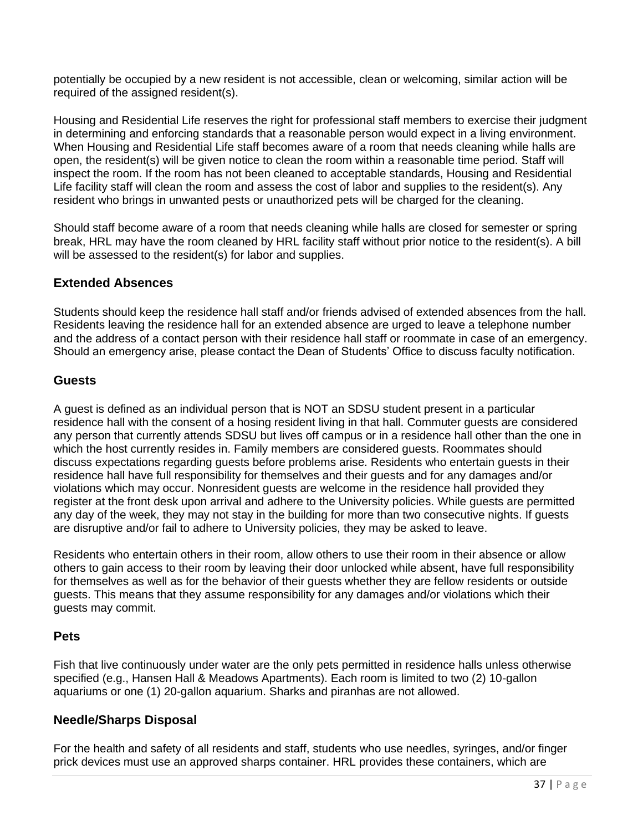potentially be occupied by a new resident is not accessible, clean or welcoming, similar action will be required of the assigned resident(s).

Housing and Residential Life reserves the right for professional staff members to exercise their judgment in determining and enforcing standards that a reasonable person would expect in a living environment. When Housing and Residential Life staff becomes aware of a room that needs cleaning while halls are open, the resident(s) will be given notice to clean the room within a reasonable time period. Staff will inspect the room. If the room has not been cleaned to acceptable standards, Housing and Residential Life facility staff will clean the room and assess the cost of labor and supplies to the resident(s). Any resident who brings in unwanted pests or unauthorized pets will be charged for the cleaning.

Should staff become aware of a room that needs cleaning while halls are closed for semester or spring break, HRL may have the room cleaned by HRL facility staff without prior notice to the resident(s). A bill will be assessed to the resident(s) for labor and supplies.

### <span id="page-37-0"></span>**Extended Absences**

Students should keep the residence hall staff and/or friends advised of extended absences from the hall. Residents leaving the residence hall for an extended absence are urged to leave a telephone number and the address of a contact person with their residence hall staff or roommate in case of an emergency. Should an emergency arise, please contact the Dean of Students' Office to discuss faculty notification.

#### <span id="page-37-1"></span>**Guests**

A guest is defined as an individual person that is NOT an SDSU student present in a particular residence hall with the consent of a hosing resident living in that hall. Commuter guests are considered any person that currently attends SDSU but lives off campus or in a residence hall other than the one in which the host currently resides in. Family members are considered guests. Roommates should discuss expectations regarding guests before problems arise. Residents who entertain guests in their residence hall have full responsibility for themselves and their guests and for any damages and/or violations which may occur. Nonresident guests are welcome in the residence hall provided they register at the front desk upon arrival and adhere to the University policies. While guests are permitted any day of the week, they may not stay in the building for more than two consecutive nights. If guests are disruptive and/or fail to adhere to University policies, they may be asked to leave.

Residents who entertain others in their room, allow others to use their room in their absence or allow others to gain access to their room by leaving their door unlocked while absent, have full responsibility for themselves as well as for the behavior of their guests whether they are fellow residents or outside guests. This means that they assume responsibility for any damages and/or violations which their guests may commit.

### <span id="page-37-2"></span>**Pets**

Fish that live continuously under water are the only pets permitted in residence halls unless otherwise specified (e.g., Hansen Hall & Meadows Apartments). Each room is limited to two (2) 10-gallon aquariums or one (1) 20-gallon aquarium. Sharks and piranhas are not allowed.

### <span id="page-37-3"></span>**Needle/Sharps Disposal**

For the health and safety of all residents and staff, students who use needles, syringes, and/or finger prick devices must use an approved sharps container. HRL provides these containers, which are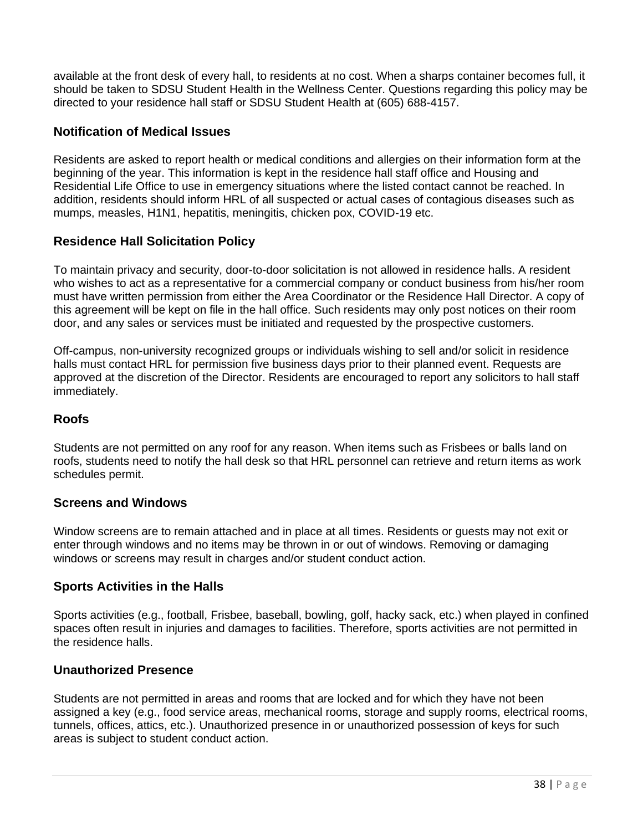available at the front desk of every hall, to residents at no cost. When a sharps container becomes full, it should be taken to SDSU Student Health in the Wellness Center. Questions regarding this policy may be directed to your residence hall staff or SDSU Student Health at (605) 688-4157.

### <span id="page-38-0"></span>**Notification of Medical Issues**

Residents are asked to report health or medical conditions and allergies on their information form at the beginning of the year. This information is kept in the residence hall staff office and Housing and Residential Life Office to use in emergency situations where the listed contact cannot be reached. In addition, residents should inform HRL of all suspected or actual cases of contagious diseases such as mumps, measles, H1N1, hepatitis, meningitis, chicken pox, COVID-19 etc.

## <span id="page-38-1"></span>**Residence Hall Solicitation Policy**

To maintain privacy and security, door-to-door solicitation is not allowed in residence halls. A resident who wishes to act as a representative for a commercial company or conduct business from his/her room must have written permission from either the Area Coordinator or the Residence Hall Director. A copy of this agreement will be kept on file in the hall office. Such residents may only post notices on their room door, and any sales or services must be initiated and requested by the prospective customers.

Off-campus, non-university recognized groups or individuals wishing to sell and/or solicit in residence halls must contact HRL for permission five business days prior to their planned event. Requests are approved at the discretion of the Director. Residents are encouraged to report any solicitors to hall staff immediately.

### <span id="page-38-2"></span>**Roofs**

Students are not permitted on any roof for any reason. When items such as Frisbees or balls land on roofs, students need to notify the hall desk so that HRL personnel can retrieve and return items as work schedules permit.

#### <span id="page-38-3"></span>**Screens and Windows**

Window screens are to remain attached and in place at all times. Residents or guests may not exit or enter through windows and no items may be thrown in or out of windows. Removing or damaging windows or screens may result in charges and/or student conduct action.

### <span id="page-38-4"></span>**Sports Activities in the Halls**

Sports activities (e.g., football, Frisbee, baseball, bowling, golf, hacky sack, etc.) when played in confined spaces often result in injuries and damages to facilities. Therefore, sports activities are not permitted in the residence halls.

### <span id="page-38-5"></span>**Unauthorized Presence**

Students are not permitted in areas and rooms that are locked and for which they have not been assigned a key (e.g., food service areas, mechanical rooms, storage and supply rooms, electrical rooms, tunnels, offices, attics, etc.). Unauthorized presence in or unauthorized possession of keys for such areas is subject to student conduct action.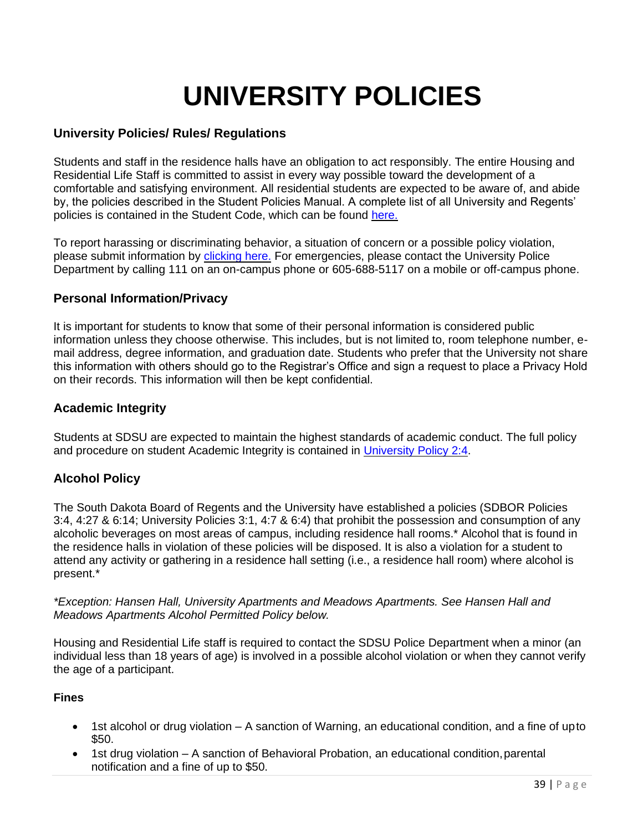## **UNIVERSITY POLICIES**

### <span id="page-39-1"></span><span id="page-39-0"></span>**University Policies/ Rules/ Regulations**

Students and staff in the residence halls have an obligation to act responsibly. The entire Housing and Residential Life Staff is committed to assist in every way possible toward the development of a comfortable and satisfying environment. All residential students are expected to be aware of, and abide by, the policies described in the Student Policies Manual. A complete list of all University and Regents' policies is contained in the Student Code, which can be found [here.](https://www.sdstate.edu/sites/default/files/Student%20Conduct%20Code.pdf)

To report harassing or discriminating behavior, a situation of concern or a possible policy violation, please submit information by [clicking here.](http://www.lighthouse-services.com/sdstate) For emergencies, please contact the University Police Department by calling 111 on an on-campus phone or 605-688-5117 on a mobile or off-campus phone.

## <span id="page-39-2"></span>**Personal Information/Privacy**

It is important for students to know that some of their personal information is considered public information unless they choose otherwise. This includes, but is not limited to, room telephone number, email address, degree information, and graduation date. Students who prefer that the University not share this information with others should go to the Registrar's Office and sign a request to place a Privacy Hold on their records. This information will then be kept confidential.

#### <span id="page-39-3"></span>**Academic Integrity**

Students at SDSU are expected to maintain the highest standards of academic conduct. The full policy and procedure on student Academic Integrity is contained in [University Policy 2:4.](http://www.sdstate.edu/policies/upload/Student-Academic-Integrity-and-Academic-Appeals.pdf)

### <span id="page-39-4"></span>**Alcohol Policy**

The South Dakota Board of Regents and the University have established a policies (SDBOR Policies 3:4, 4:27 & 6:14; University Policies 3:1, 4:7 & 6:4) that prohibit the possession and consumption of any alcoholic beverages on most areas of campus, including residence hall rooms.\* Alcohol that is found in the residence halls in violation of these policies will be disposed. It is also a violation for a student to attend any activity or gathering in a residence hall setting (i.e., a residence hall room) where alcohol is present.\*

*\*Exception: Hansen Hall, University Apartments and Meadows Apartments. See Hansen Hall and Meadows Apartments Alcohol Permitted Policy below.*

Housing and Residential Life staff is required to contact the SDSU Police Department when a minor (an individual less than 18 years of age) is involved in a possible alcohol violation or when they cannot verify the age of a participant.

#### <span id="page-39-5"></span>**Fines**

- 1st alcohol or drug violation A sanction of Warning, an educational condition, and a fine of upto \$50.
- 1st drug violation A sanction of Behavioral Probation, an educational condition, parental notification and a fine of up to \$50.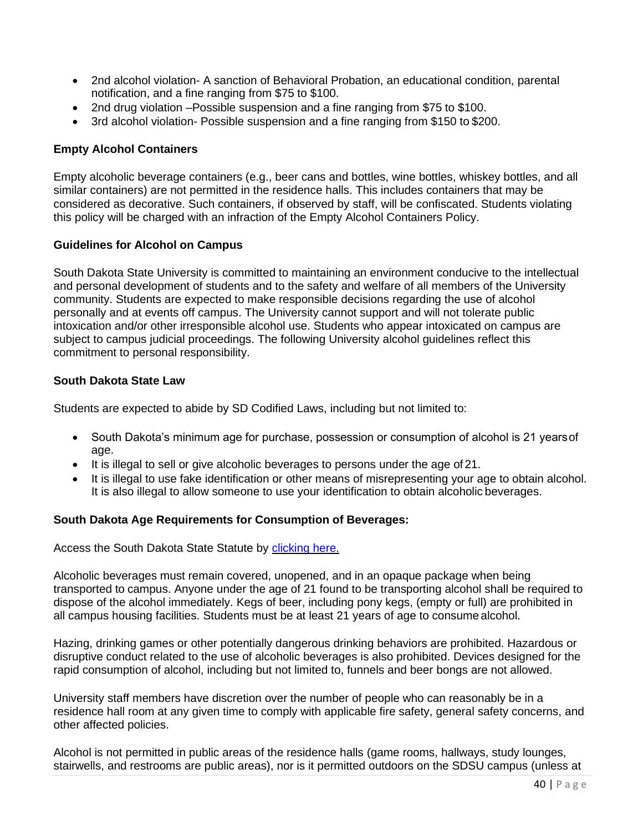- 2nd alcohol violation- A sanction of Behavioral Probation, an educational condition, parental notification, and a fine ranging from \$75 to \$100.
- 2nd drug violation –Possible suspension and a fine ranging from \$75 to \$100.
- 3rd alcohol violation- Possible suspension and a fine ranging from \$150 to \$200.

#### <span id="page-40-0"></span>**Empty Alcohol Containers**

Empty alcoholic beverage containers (e.g., beer cans and bottles, wine bottles, whiskey bottles, and all similar containers) are not permitted in the residence halls. This includes containers that may be considered as decorative. Such containers, if observed by staff, will be confiscated. Students violating this policy will be charged with an infraction of the Empty Alcohol Containers Policy.

#### <span id="page-40-1"></span>**Guidelines for Alcohol on Campus**

South Dakota State University is committed to maintaining an environment conducive to the intellectual and personal development of students and to the safety and welfare of all members of the University community. Students are expected to make responsible decisions regarding the use of alcohol personally and at events off campus. The University cannot support and will not tolerate public intoxication and/or other irresponsible alcohol use. Students who appear intoxicated on campus are subject to campus judicial proceedings. The following University alcohol guidelines reflect this commitment to personal responsibility.

#### <span id="page-40-2"></span>**South Dakota State Law**

Students are expected to abide by SD Codified Laws, including but not limited to:

- South Dakota's minimum age for purchase, possession or consumption of alcohol is 21 yearsof age.
- It is illegal to sell or give alcoholic beverages to persons under the age of 21.
- It is illegal to use fake identification or other means of misrepresenting your age to obtain alcohol. It is also illegal to allow someone to use your identification to obtain alcoholic beverages.

#### <span id="page-40-3"></span>**South Dakota Age Requirements for Consumption of Beverages:**

Access the South Dakota State Statute by [clicking here.](http://legis.state.sd.us/statutes/DisplayStatute.aspx?Type=Statute&%3BStatute=35-9)

Alcoholic beverages must remain covered, unopened, and in an opaque package when being transported to campus. Anyone under the age of 21 found to be transporting alcohol shall be required to dispose of the alcohol immediately. Kegs of beer, including pony kegs, (empty or full) are prohibited in all campus housing facilities. Students must be at least 21 years of age to consume alcohol.

Hazing, drinking games or other potentially dangerous drinking behaviors are prohibited. Hazardous or disruptive conduct related to the use of alcoholic beverages is also prohibited. Devices designed for the rapid consumption of alcohol, including but not limited to, funnels and beer bongs are not allowed.

University staff members have discretion over the number of people who can reasonably be in a residence hall room at any given time to comply with applicable fire safety, general safety concerns, and other affected policies.

Alcohol is not permitted in public areas of the residence halls (game rooms, hallways, study lounges, stairwells, and restrooms are public areas), nor is it permitted outdoors on the SDSU campus (unless at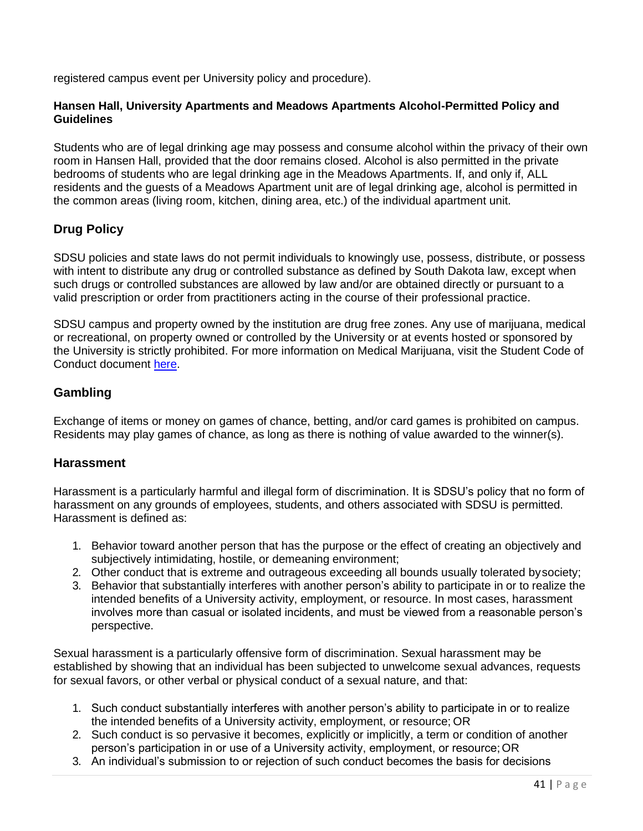registered campus event per University policy and procedure).

#### <span id="page-41-0"></span>**Hansen Hall, University Apartments and Meadows Apartments Alcohol-Permitted Policy and Guidelines**

Students who are of legal drinking age may possess and consume alcohol within the privacy of their own room in Hansen Hall, provided that the door remains closed. Alcohol is also permitted in the private bedrooms of students who are legal drinking age in the Meadows Apartments. If, and only if, ALL residents and the guests of a Meadows Apartment unit are of legal drinking age, alcohol is permitted in the common areas (living room, kitchen, dining area, etc.) of the individual apartment unit.

## <span id="page-41-1"></span>**Drug Policy**

SDSU policies and state laws do not permit individuals to knowingly use, possess, distribute, or possess with intent to distribute any drug or controlled substance as defined by South Dakota law, except when such drugs or controlled substances are allowed by law and/or are obtained directly or pursuant to a valid prescription or order from practitioners acting in the course of their professional practice.

SDSU campus and property owned by the institution are drug free zones. Any use of marijuana, medical or recreational, on property owned or controlled by the University or at events hosted or sponsored by the University is strictly prohibited. For more information on Medical Marijuana, visit the Student Code of Conduct document [here.](https://www.sdstate.edu/sites/default/files/Student%20Conduct%20Code.pdf)

## <span id="page-41-2"></span>**Gambling**

Exchange of items or money on games of chance, betting, and/or card games is prohibited on campus. Residents may play games of chance, as long as there is nothing of value awarded to the winner(s).

### <span id="page-41-3"></span>**Harassment**

Harassment is a particularly harmful and illegal form of discrimination. It is SDSU's policy that no form of harassment on any grounds of employees, students, and others associated with SDSU is permitted. Harassment is defined as:

- 1. Behavior toward another person that has the purpose or the effect of creating an objectively and subjectively intimidating, hostile, or demeaning environment;
- 2. Other conduct that is extreme and outrageous exceeding all bounds usually tolerated bysociety;
- 3. Behavior that substantially interferes with another person's ability to participate in or to realize the intended benefits of a University activity, employment, or resource. In most cases, harassment involves more than casual or isolated incidents, and must be viewed from a reasonable person's perspective.

Sexual harassment is a particularly offensive form of discrimination. Sexual harassment may be established by showing that an individual has been subjected to unwelcome sexual advances, requests for sexual favors, or other verbal or physical conduct of a sexual nature, and that:

- 1. Such conduct substantially interferes with another person's ability to participate in or to realize the intended benefits of a University activity, employment, or resource; OR
- 2. Such conduct is so pervasive it becomes, explicitly or implicitly, a term or condition of another person's participation in or use of a University activity, employment, or resource;OR
- 3. An individual's submission to or rejection of such conduct becomes the basis for decisions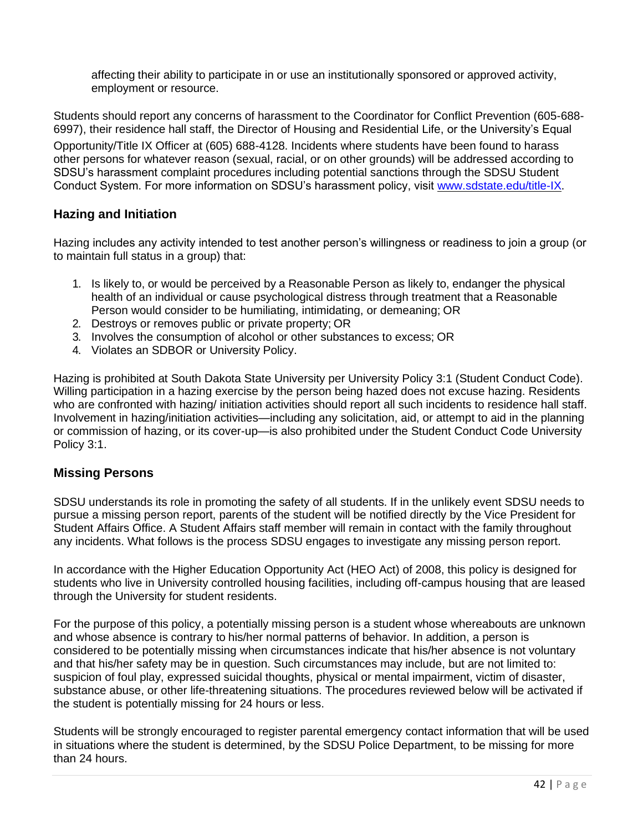affecting their ability to participate in or use an institutionally sponsored or approved activity, employment or resource.

Students should report any concerns of harassment to the Coordinator for Conflict Prevention (605-688- 6997), their residence hall staff, the Director of Housing and Residential Life, or the University's Equal

Opportunity/Title IX Officer at (605) 688-4128. Incidents where students have been found to harass other persons for whatever reason (sexual, racial, or on other grounds) will be addressed according to SDSU's harassment complaint procedures including potential sanctions through the SDSU Student Conduct System. For more information on SDSU's harassment policy, visit [www.sdstate.edu/title-IX.](http://www.sdstate.edu/title-IX)

### <span id="page-42-0"></span>**Hazing and Initiation**

Hazing includes any activity intended to test another person's willingness or readiness to join a group (or to maintain full status in a group) that:

- 1. Is likely to, or would be perceived by a Reasonable Person as likely to, endanger the physical health of an individual or cause psychological distress through treatment that a Reasonable Person would consider to be humiliating, intimidating, or demeaning; OR
- 2. Destroys or removes public or private property; OR
- 3. Involves the consumption of alcohol or other substances to excess; OR
- 4. Violates an SDBOR or University Policy.

Hazing is prohibited at South Dakota State University per University Policy 3:1 (Student Conduct Code). Willing participation in a hazing exercise by the person being hazed does not excuse hazing. Residents who are confronted with hazing/ initiation activities should report all such incidents to residence hall staff. Involvement in hazing/initiation activities—including any solicitation, aid, or attempt to aid in the planning or commission of hazing, or its cover-up—is also prohibited under the Student Conduct Code University Policy 3:1.

### <span id="page-42-1"></span>**Missing Persons**

SDSU understands its role in promoting the safety of all students. If in the unlikely event SDSU needs to pursue a missing person report, parents of the student will be notified directly by the Vice President for Student Affairs Office. A Student Affairs staff member will remain in contact with the family throughout any incidents. What follows is the process SDSU engages to investigate any missing person report.

In accordance with the Higher Education Opportunity Act (HEO Act) of 2008, this policy is designed for students who live in University controlled housing facilities, including off-campus housing that are leased through the University for student residents.

For the purpose of this policy, a potentially missing person is a student whose whereabouts are unknown and whose absence is contrary to his/her normal patterns of behavior. In addition, a person is considered to be potentially missing when circumstances indicate that his/her absence is not voluntary and that his/her safety may be in question. Such circumstances may include, but are not limited to: suspicion of foul play, expressed suicidal thoughts, physical or mental impairment, victim of disaster, substance abuse, or other life-threatening situations. The procedures reviewed below will be activated if the student is potentially missing for 24 hours or less.

Students will be strongly encouraged to register parental emergency contact information that will be used in situations where the student is determined, by the SDSU Police Department, to be missing for more than 24 hours.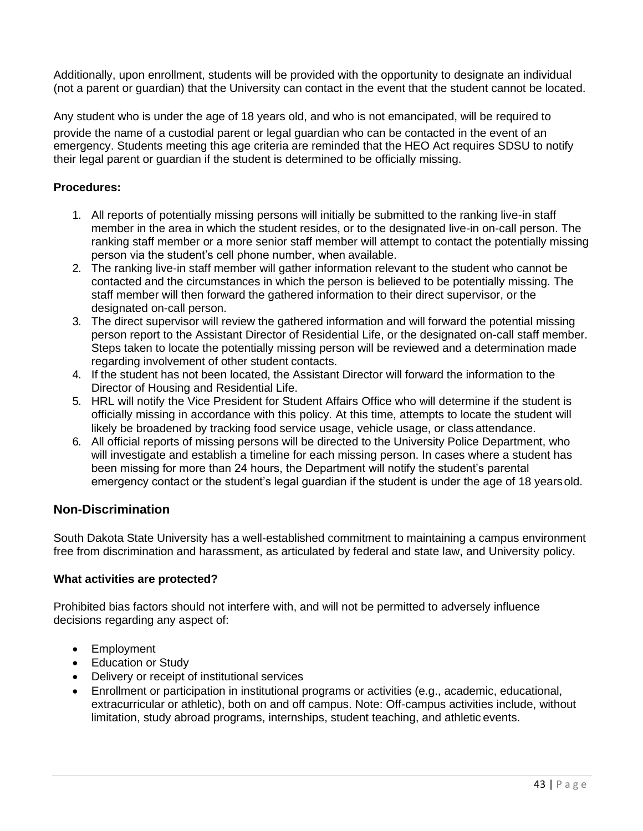Additionally, upon enrollment, students will be provided with the opportunity to designate an individual (not a parent or guardian) that the University can contact in the event that the student cannot be located.

Any student who is under the age of 18 years old, and who is not emancipated, will be required to provide the name of a custodial parent or legal guardian who can be contacted in the event of an emergency. Students meeting this age criteria are reminded that the HEO Act requires SDSU to notify their legal parent or guardian if the student is determined to be officially missing.

#### <span id="page-43-0"></span>**Procedures:**

- 1. All reports of potentially missing persons will initially be submitted to the ranking live-in staff member in the area in which the student resides, or to the designated live-in on-call person. The ranking staff member or a more senior staff member will attempt to contact the potentially missing person via the student's cell phone number, when available.
- 2. The ranking live-in staff member will gather information relevant to the student who cannot be contacted and the circumstances in which the person is believed to be potentially missing. The staff member will then forward the gathered information to their direct supervisor, or the designated on-call person.
- 3. The direct supervisor will review the gathered information and will forward the potential missing person report to the Assistant Director of Residential Life, or the designated on-call staff member. Steps taken to locate the potentially missing person will be reviewed and a determination made regarding involvement of other student contacts.
- 4. If the student has not been located, the Assistant Director will forward the information to the Director of Housing and Residential Life.
- 5. HRL will notify the Vice President for Student Affairs Office who will determine if the student is officially missing in accordance with this policy. At this time, attempts to locate the student will likely be broadened by tracking food service usage, vehicle usage, or class attendance.
- 6. All official reports of missing persons will be directed to the University Police Department, who will investigate and establish a timeline for each missing person. In cases where a student has been missing for more than 24 hours, the Department will notify the student's parental emergency contact or the student's legal guardian if the student is under the age of 18 yearsold.

### <span id="page-43-1"></span>**Non-Discrimination**

South Dakota State University has a well-established commitment to maintaining a campus environment free from discrimination and harassment, as articulated by federal and state law, and University policy.

#### <span id="page-43-2"></span>**What activities are protected?**

Prohibited bias factors should not interfere with, and will not be permitted to adversely influence decisions regarding any aspect of:

- Employment
- Education or Study
- Delivery or receipt of institutional services
- <span id="page-43-3"></span>• Enrollment or participation in institutional programs or activities (e.g., academic, educational, extracurricular or athletic), both on and off campus. Note: Off-campus activities include, without limitation, study abroad programs, internships, student teaching, and athletic events.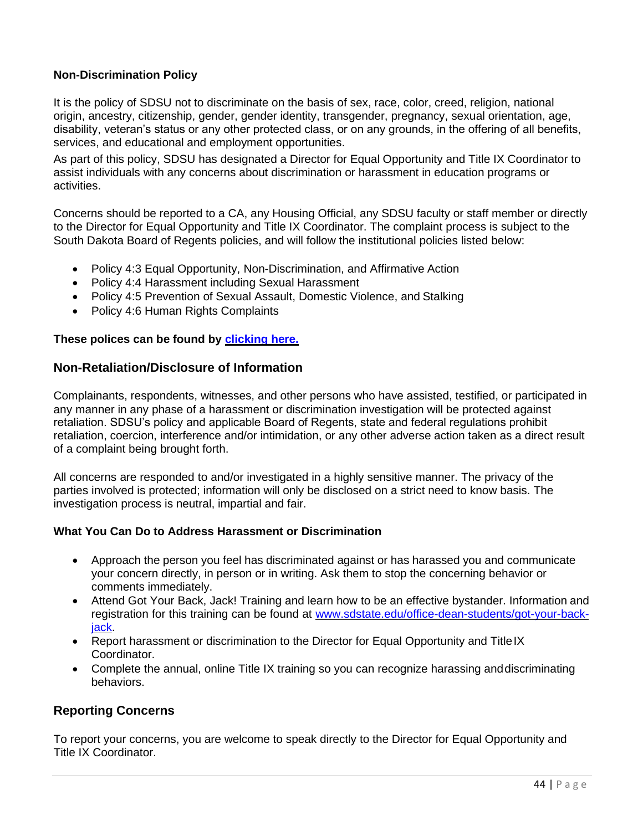#### **Non-Discrimination Policy**

It is the policy of SDSU not to discriminate on the basis of sex, race, color, creed, religion, national origin, ancestry, citizenship, gender, gender identity, transgender, pregnancy, sexual orientation, age, disability, veteran's status or any other protected class, or on any grounds, in the offering of all benefits, services, and educational and employment opportunities.

As part of this policy, SDSU has designated a Director for Equal Opportunity and Title IX Coordinator to assist individuals with any concerns about discrimination or harassment in education programs or activities.

Concerns should be reported to a CA, any Housing Official, any SDSU faculty or staff member or directly to the Director for Equal Opportunity and Title IX Coordinator. The complaint process is subject to the South Dakota Board of Regents policies, and will follow the institutional policies listed below:

- Policy 4:3 Equal Opportunity, Non-Discrimination, and Affirmative Action
- Policy 4:4 Harassment including Sexual Harassment
- Policy 4:5 Prevention of Sexual Assault, Domestic Violence, and Stalking
- Policy 4:6 Human Rights Complaints

#### **These polices can be found by [clicking here.](https://www.sdstate.edu/policies-and-procedures)**

#### <span id="page-44-0"></span>**Non-Retaliation/Disclosure of Information**

Complainants, respondents, witnesses, and other persons who have assisted, testified, or participated in any manner in any phase of a harassment or discrimination investigation will be protected against retaliation. SDSU's policy and applicable Board of Regents, state and federal regulations prohibit retaliation, coercion, interference and/or intimidation, or any other adverse action taken as a direct result of a complaint being brought forth.

All concerns are responded to and/or investigated in a highly sensitive manner. The privacy of the parties involved is protected; information will only be disclosed on a strict need to know basis. The investigation process is neutral, impartial and fair.

#### <span id="page-44-1"></span>**What You Can Do to Address Harassment or Discrimination**

- Approach the person you feel has discriminated against or has harassed you and communicate your concern directly, in person or in writing. Ask them to stop the concerning behavior or comments immediately.
- Attend Got Your Back, Jack! Training and learn how to be an effective bystander. Information and registration for this training can be found at [www.sdstate.edu/office-dean-students/got-your-back](http://www.sdstate.edu/office-dean-students/got-your-back-jack)[jack.](http://www.sdstate.edu/office-dean-students/got-your-back-jack)
- Report harassment or discrimination to the Director for Equal Opportunity and TitleIX Coordinator.
- Complete the annual, online Title IX training so you can recognize harassing anddiscriminating behaviors.

### <span id="page-44-2"></span>**Reporting Concerns**

To report your concerns, you are welcome to speak directly to the Director for Equal Opportunity and Title IX Coordinator.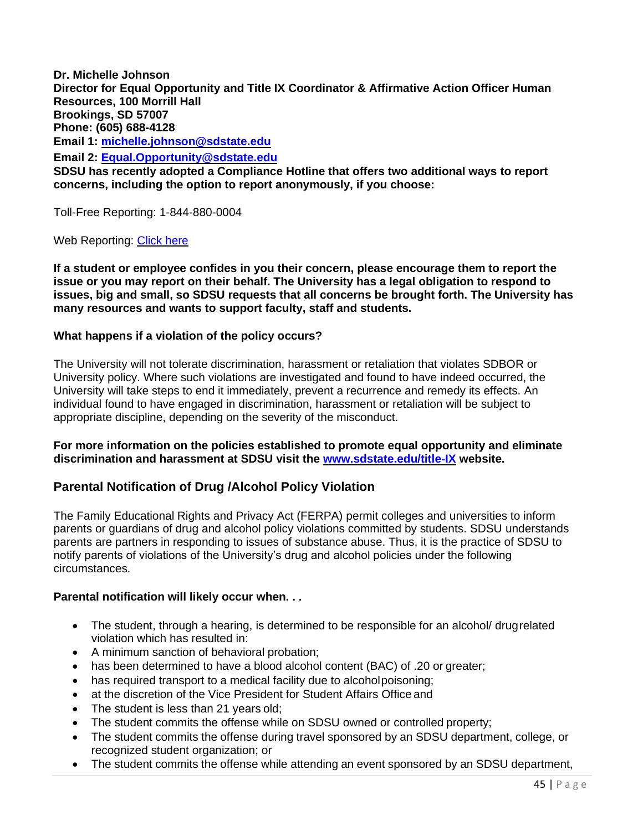**Dr. Michelle Johnson Director for Equal Opportunity and Title IX Coordinator & Affirmative Action Officer Human Resources, 100 Morrill Hall Brookings, SD 57007 Phone: (605) 688-4128 Email 1: [michelle.johnson@sdstate.edu](mailto:michelle.johnson@sdstate.edu) Email 2: [Equal.Opportunity@sdstate.edu](mailto:Equal.Opportunity@sdstate.edu) SDSU has recently adopted a Compliance Hotline that offers two additional ways to report concerns, including the option to report anonymously, if you choose:**

Toll-Free Reporting: 1-844-880-0004

Web Reporting: [Click here](https://www.lighthouse-services.com/sdstate)

**If a student or employee confides in you their concern, please encourage them to report the issue or you may report on their behalf. The University has a legal obligation to respond to issues, big and small, so SDSU requests that all concerns be brought forth. The University has many resources and wants to support faculty, staff and students.**

#### <span id="page-45-0"></span>**What happens if a violation of the policy occurs?**

The University will not tolerate discrimination, harassment or retaliation that violates SDBOR or University policy. Where such violations are investigated and found to have indeed occurred, the University will take steps to end it immediately, prevent a recurrence and remedy its effects. An individual found to have engaged in discrimination, harassment or retaliation will be subject to appropriate discipline, depending on the severity of the misconduct.

**For more information on the policies established to promote equal opportunity and eliminate discrimination and harassment at SDSU visit the [www.sdstate.edu/title-IX](http://www.sdstate.edu/title-IX) website.**

#### <span id="page-45-1"></span>**Parental Notification of Drug /Alcohol Policy Violation**

The Family Educational Rights and Privacy Act (FERPA) permit colleges and universities to inform parents or guardians of drug and alcohol policy violations committed by students. SDSU understands parents are partners in responding to issues of substance abuse. Thus, it is the practice of SDSU to notify parents of violations of the University's drug and alcohol policies under the following circumstances.

#### <span id="page-45-2"></span>**Parental notification will likely occur when. . .**

- The student, through a hearing, is determined to be responsible for an alcohol/ drugrelated violation which has resulted in:
- A minimum sanction of behavioral probation;
- has been determined to have a blood alcohol content (BAC) of .20 or greater;
- has required transport to a medical facility due to alcoholpoisoning;
- at the discretion of the Vice President for Student Affairs Office and
- The student is less than 21 years old;
- The student commits the offense while on SDSU owned or controlled property;
- The student commits the offense during travel sponsored by an SDSU department, college, or recognized student organization; or
- The student commits the offense while attending an event sponsored by an SDSU department,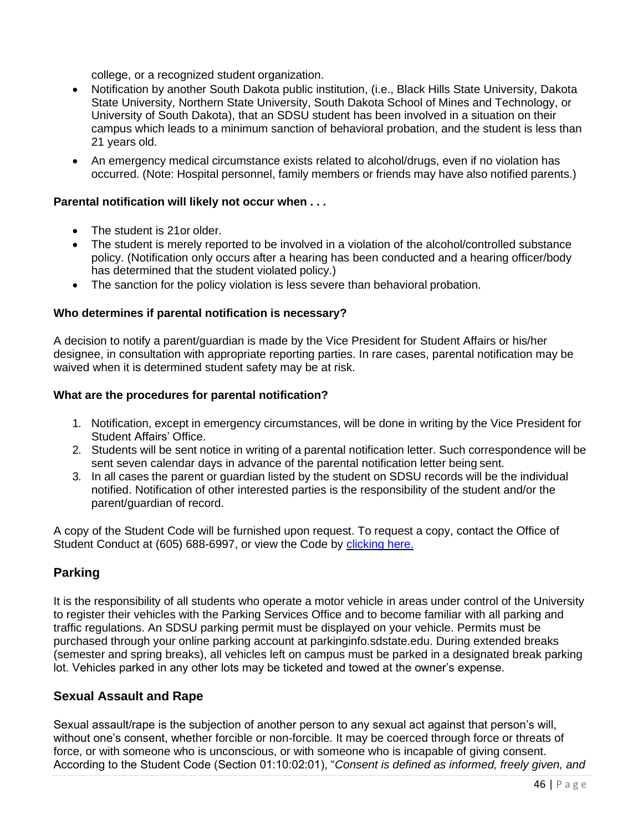college, or a recognized student organization.

- Notification by another South Dakota public institution, (i.e., Black Hills State University, Dakota State University, Northern State University, South Dakota School of Mines and Technology, or University of South Dakota), that an SDSU student has been involved in a situation on their campus which leads to a minimum sanction of behavioral probation, and the student is less than 21 years old.
- An emergency medical circumstance exists related to alcohol/drugs, even if no violation has occurred. (Note: Hospital personnel, family members or friends may have also notified parents.)

#### <span id="page-46-0"></span>**Parental notification will likely not occur when . . .**

- The student is 21or older.
- The student is merely reported to be involved in a violation of the alcohol/controlled substance policy. (Notification only occurs after a hearing has been conducted and a hearing officer/body has determined that the student violated policy.)
- The sanction for the policy violation is less severe than behavioral probation.

#### <span id="page-46-1"></span>**Who determines if parental notification is necessary?**

A decision to notify a parent/guardian is made by the Vice President for Student Affairs or his/her designee, in consultation with appropriate reporting parties. In rare cases, parental notification may be waived when it is determined student safety may be at risk.

#### <span id="page-46-2"></span>**What are the procedures for parental notification?**

- 1. Notification, except in emergency circumstances, will be done in writing by the Vice President for Student Affairs' Office.
- 2. Students will be sent notice in writing of a parental notification letter. Such correspondence will be sent seven calendar days in advance of the parental notification letter being sent.
- 3. In all cases the parent or guardian listed by the student on SDSU records will be the individual notified. Notification of other interested parties is the responsibility of the student and/or the parent/guardian of record.

A copy of the Student Code will be furnished upon request. To request a copy, contact the Office of Student Conduct at (605) 688-6997, or view the Code by [clicking here.](https://www.sdstate.edu/sites/default/files/Student%20Conduct%20Code.pdf)

## <span id="page-46-3"></span>**Parking**

It is the responsibility of all students who operate a motor vehicle in areas under control of the University to register their vehicles with the Parking Services Office and to become familiar with all parking and traffic regulations. An SDSU parking permit must be displayed on your vehicle. Permits must be purchased through your online parking account at parkinginfo.sdstate.edu. During extended breaks (semester and spring breaks), all vehicles left on campus must be parked in a designated break parking lot. Vehicles parked in any other lots may be ticketed and towed at the owner's expense.

### <span id="page-46-4"></span>**Sexual Assault and Rape**

Sexual assault/rape is the subjection of another person to any sexual act against that person's will, without one's consent, whether forcible or non-forcible. It may be coerced through force or threats of force, or with someone who is unconscious, or with someone who is incapable of giving consent. According to the Student Code (Section 01:10:02:01), "*Consent is defined as informed, freely given, and*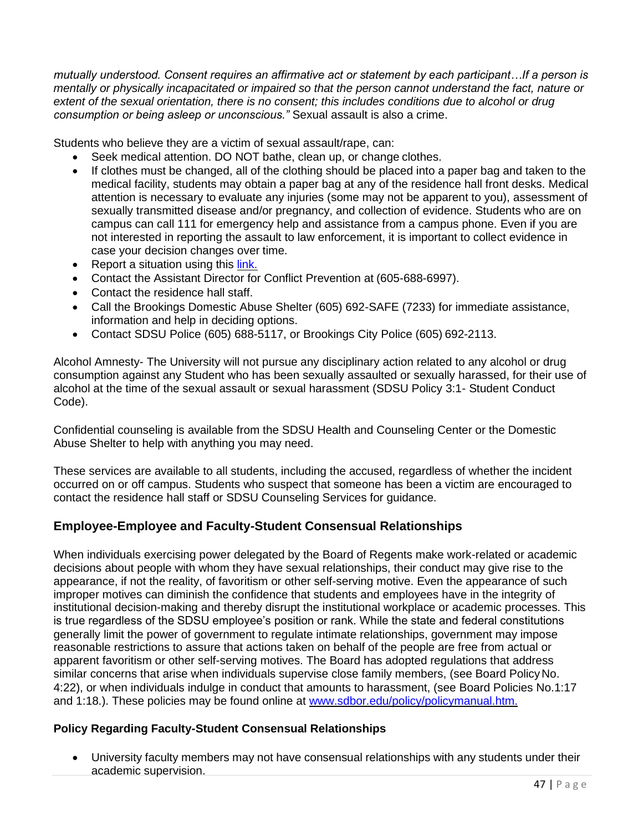*mutually understood. Consent requires an affirmative act or statement by each participant…If a person is mentally or physically incapacitated or impaired so that the person cannot understand the fact, nature or extent of the sexual orientation, there is no consent; this includes conditions due to alcohol or drug consumption or being asleep or unconscious."* Sexual assault is also a crime.

Students who believe they are a victim of sexual assault/rape, can:

- Seek medical attention. DO NOT bathe, clean up, or change clothes.
- If clothes must be changed, all of the clothing should be placed into a paper bag and taken to the medical facility, students may obtain a paper bag at any of the residence hall front desks. Medical attention is necessary to evaluate any injuries (some may not be apparent to you), assessment of sexually transmitted disease and/or pregnancy, and collection of evidence. Students who are on campus can call 111 for emergency help and assistance from a campus phone. Even if you are not interested in reporting the assault to law enforcement, it is important to collect evidence in case your decision changes over time.
- Report a situation using this [link.](http://www.lighthouse-services.com/sdstate)
- Contact the Assistant Director for Conflict Prevention at (605-688-6997).
- Contact the residence hall staff.
- Call the Brookings Domestic Abuse Shelter (605) 692-SAFE (7233) for immediate assistance, information and help in deciding options.
- Contact SDSU Police (605) 688-5117, or Brookings City Police (605) 692-2113.

Alcohol Amnesty- The University will not pursue any disciplinary action related to any alcohol or drug consumption against any Student who has been sexually assaulted or sexually harassed, for their use of alcohol at the time of the sexual assault or sexual harassment (SDSU Policy 3:1- Student Conduct Code).

Confidential counseling is available from the SDSU Health and Counseling Center or the Domestic Abuse Shelter to help with anything you may need.

These services are available to all students, including the accused, regardless of whether the incident occurred on or off campus. Students who suspect that someone has been a victim are encouraged to contact the residence hall staff or SDSU Counseling Services for guidance.

## <span id="page-47-0"></span>**Employee-Employee and Faculty-Student Consensual Relationships**

When individuals exercising power delegated by the Board of Regents make work-related or academic decisions about people with whom they have sexual relationships, their conduct may give rise to the appearance, if not the reality, of favoritism or other self-serving motive. Even the appearance of such improper motives can diminish the confidence that students and employees have in the integrity of institutional decision-making and thereby disrupt the institutional workplace or academic processes. This is true regardless of the SDSU employee's position or rank. While the state and federal constitutions generally limit the power of government to regulate intimate relationships, government may impose reasonable restrictions to assure that actions taken on behalf of the people are free from actual or apparent favoritism or other self-serving motives. The Board has adopted regulations that address similar concerns that arise when individuals supervise close family members, (see Board PolicyNo. 4:22), or when individuals indulge in conduct that amounts to harassment, (see Board Policies No.1:17 and 1:18.). These policies may be found online at [www.sdbor.edu/policy/policymanual.htm.](http://www.sdbor.edu/policy/policymanual.htm)

### <span id="page-47-1"></span>**Policy Regarding Faculty-Student Consensual Relationships**

• University faculty members may not have consensual relationships with any students under their academic supervision.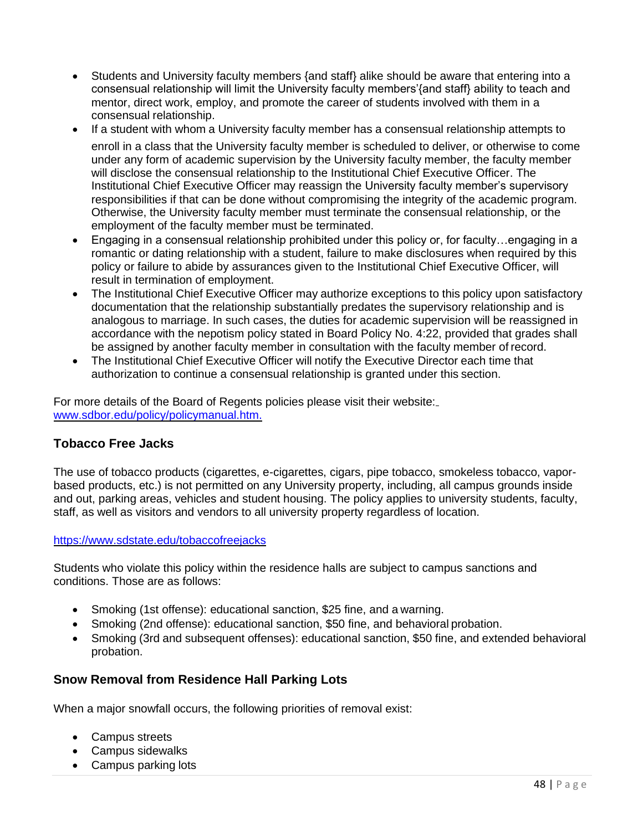- Students and University faculty members {and staff} alike should be aware that entering into a consensual relationship will limit the University faculty members'{and staff} ability to teach and mentor, direct work, employ, and promote the career of students involved with them in a consensual relationship.
- If a student with whom a University faculty member has a consensual relationship attempts to enroll in a class that the University faculty member is scheduled to deliver, or otherwise to come under any form of academic supervision by the University faculty member, the faculty member will disclose the consensual relationship to the Institutional Chief Executive Officer. The Institutional Chief Executive Officer may reassign the University faculty member's supervisory responsibilities if that can be done without compromising the integrity of the academic program. Otherwise, the University faculty member must terminate the consensual relationship, or the employment of the faculty member must be terminated.
- Engaging in a consensual relationship prohibited under this policy or, for faculty...engaging in a romantic or dating relationship with a student, failure to make disclosures when required by this policy or failure to abide by assurances given to the Institutional Chief Executive Officer, will result in termination of employment.
- The Institutional Chief Executive Officer may authorize exceptions to this policy upon satisfactory documentation that the relationship substantially predates the supervisory relationship and is analogous to marriage. In such cases, the duties for academic supervision will be reassigned in accordance with the nepotism policy stated in Board Policy No. 4:22, provided that grades shall be assigned by another faculty member in consultation with the faculty member of record.
- The Institutional Chief Executive Officer will notify the Executive Director each time that authorization to continue a consensual relationship is granted under this section.

For more details of the Board of Regents policies please visit their website: [www.sdbor.edu/policy/policymanual.htm.](http://www.sdbor.edu/policy/policymanual.htm)

## <span id="page-48-0"></span>**Tobacco Free Jacks**

The use of tobacco products (cigarettes, e-cigarettes, cigars, pipe tobacco, smokeless tobacco, vaporbased products, etc.) is not permitted on any University property, including, all campus grounds inside and out, parking areas, vehicles and student housing. The policy applies to university students, faculty, staff, as well as visitors and vendors to all university property regardless of location.

### <https://www.sdstate.edu/tobaccofreejacks>

Students who violate this policy within the residence halls are subject to campus sanctions and conditions. Those are as follows:

- Smoking (1st offense): educational sanction, \$25 fine, and a warning.
- Smoking (2nd offense): educational sanction, \$50 fine, and behavioral probation.
- Smoking (3rd and subsequent offenses): educational sanction, \$50 fine, and extended behavioral probation.

## <span id="page-48-1"></span>**Snow Removal from Residence Hall Parking Lots**

When a major snowfall occurs, the following priorities of removal exist:

- Campus streets
- Campus sidewalks
- Campus parking lots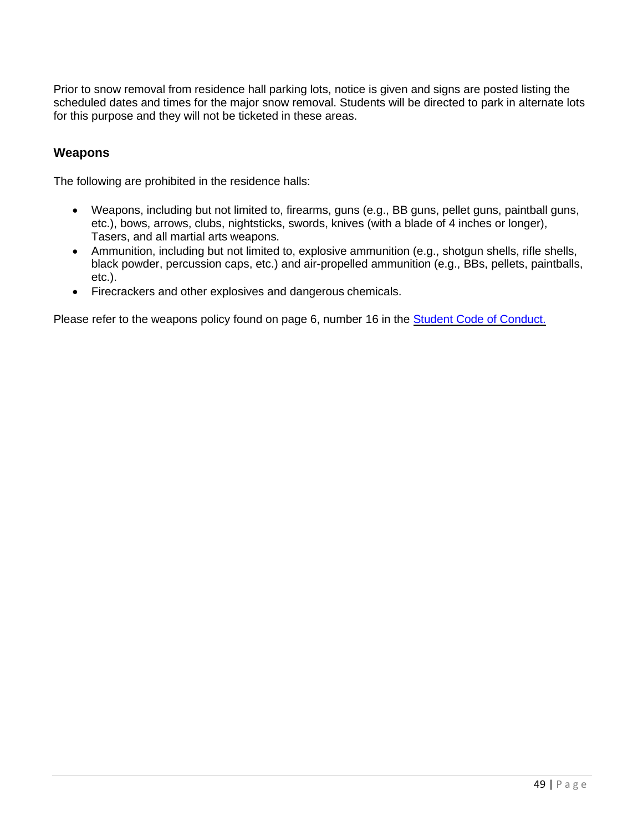Prior to snow removal from residence hall parking lots, notice is given and signs are posted listing the scheduled dates and times for the major snow removal. Students will be directed to park in alternate lots for this purpose and they will not be ticketed in these areas.

### <span id="page-49-0"></span>**Weapons**

The following are prohibited in the residence halls:

- Weapons, including but not limited to, firearms, guns (e.g., BB guns, pellet guns, paintball guns, etc.), bows, arrows, clubs, nightsticks, swords, knives (with a blade of 4 inches or longer), Tasers, and all martial arts weapons.
- Ammunition, including but not limited to, explosive ammunition (e.g., shotgun shells, rifle shells, black powder, percussion caps, etc.) and air-propelled ammunition (e.g., BBs, pellets, paintballs, etc.).
- Firecrackers and other explosives and dangerous chemicals.

Please refer to the weapons policy found on page 6, number 16 in the [Student Code of Conduct.](https://www.sdstate.edu/sites/default/files/Student%20Conduct%20Code.pdf)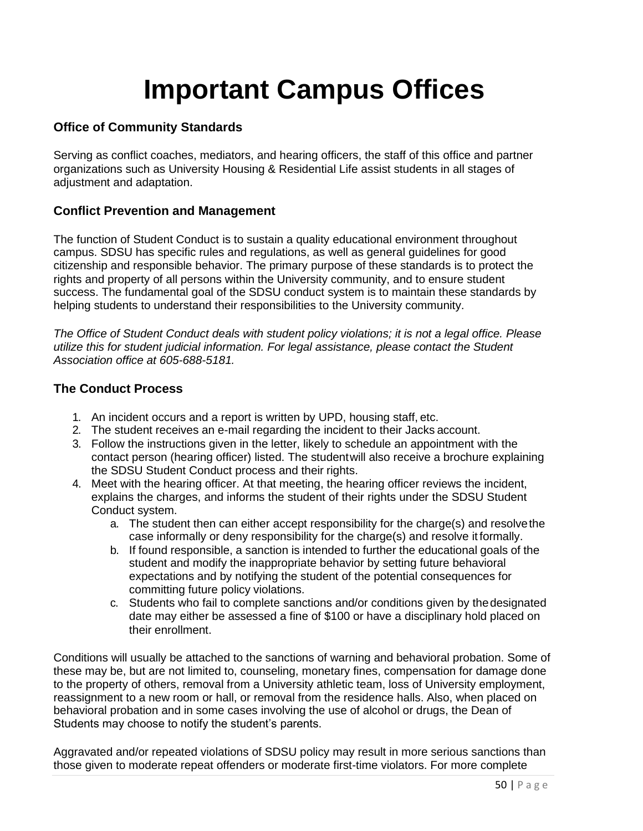## **Important Campus Offices**

## <span id="page-50-1"></span><span id="page-50-0"></span>**Office of Community Standards**

Serving as conflict coaches, mediators, and hearing officers, the staff of this office and partner organizations such as University Housing & Residential Life assist students in all stages of adjustment and adaptation.

### <span id="page-50-2"></span>**Conflict Prevention and Management**

The function of Student Conduct is to sustain a quality educational environment throughout campus. SDSU has specific rules and regulations, as well as general guidelines for good citizenship and responsible behavior. The primary purpose of these standards is to protect the rights and property of all persons within the University community, and to ensure student success. The fundamental goal of the SDSU conduct system is to maintain these standards by helping students to understand their responsibilities to the University community.

*The Office of Student Conduct deals with student policy violations; it is not a legal office. Please utilize this for student judicial information. For legal assistance, please contact the Student Association office at 605-688-5181.*

### <span id="page-50-3"></span>**The Conduct Process**

- 1. An incident occurs and a report is written by UPD, housing staff, etc.
- 2. The student receives an e-mail regarding the incident to their Jacks account.
- 3. Follow the instructions given in the letter, likely to schedule an appointment with the contact person (hearing officer) listed. The studentwill also receive a brochure explaining the SDSU Student Conduct process and their rights.
- 4. Meet with the hearing officer. At that meeting, the hearing officer reviews the incident, explains the charges, and informs the student of their rights under the SDSU Student Conduct system.
	- a. The student then can either accept responsibility for the charge(s) and resolvethe case informally or deny responsibility for the charge(s) and resolve it formally.
	- b. If found responsible, a sanction is intended to further the educational goals of the student and modify the inappropriate behavior by setting future behavioral expectations and by notifying the student of the potential consequences for committing future policy violations.
	- c. Students who fail to complete sanctions and/or conditions given by thedesignated date may either be assessed a fine of \$100 or have a disciplinary hold placed on their enrollment.

Conditions will usually be attached to the sanctions of warning and behavioral probation. Some of these may be, but are not limited to, counseling, monetary fines, compensation for damage done to the property of others, removal from a University athletic team, loss of University employment, reassignment to a new room or hall, or removal from the residence halls. Also, when placed on behavioral probation and in some cases involving the use of alcohol or drugs, the Dean of Students may choose to notify the student's parents.

Aggravated and/or repeated violations of SDSU policy may result in more serious sanctions than those given to moderate repeat offenders or moderate first-time violators. For more complete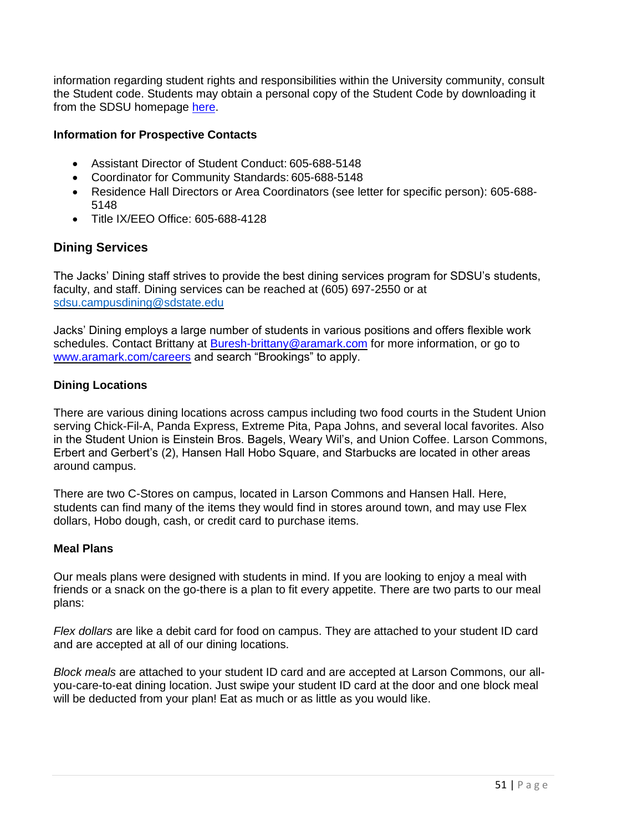information regarding student rights and responsibilities within the University community, consult the Student code. Students may obtain a personal copy of the Student Code by downloading it from the SDSU homepage her[e.](https://www.sdstate.edu/sites/default/files/Student%20Conduct%20Code.pdf)

#### <span id="page-51-0"></span>**Information for Prospective Contacts**

- Assistant Director of Student Conduct: 605-688-5148
- Coordinator for Community Standards: 605-688-5148
- Residence Hall Directors or Area Coordinators (see letter for specific person): 605-688- 5148
- Title IX/EEO Office: 605-688-4128

### <span id="page-51-1"></span>**Dining Services**

The Jacks' Dining staff strives to provide the best dining services program for SDSU's students, faculty, and staff. Dining services can be reached at (605) 697-2550 or at [sdsu.campusdining@sdstate.edu](mailto:sdsu.campusdining@sdstate.edu)

Jacks' Dining employs a large number of students in various positions and offers flexible work schedules. Contact Brittany at [Buresh-brittany@aramark.com](mailto:Buresh-brittany@aramark.com) for more information, or go to [www.aramark.com/careers](http://www.aramark.com/careers) and search "Brookings" to apply.

#### <span id="page-51-2"></span>**Dining Locations**

There are various dining locations across campus including two food courts in the Student Union serving Chick-Fil-A, Panda Express, Extreme Pita, Papa Johns, and several local favorites. Also in the Student Union is Einstein Bros. Bagels, Weary Wil's, and Union Coffee. Larson Commons, Erbert and Gerbert's (2), Hansen Hall Hobo Square, and Starbucks are located in other areas around campus.

There are two C-Stores on campus, located in Larson Commons and Hansen Hall. Here, students can find many of the items they would find in stores around town, and may use Flex dollars, Hobo dough, cash, or credit card to purchase items.

#### <span id="page-51-3"></span>**Meal Plans**

Our meals plans were designed with students in mind. If you are looking to enjoy a meal with friends or a snack on the go-there is a plan to fit every appetite. There are two parts to our meal plans:

*Flex dollars* are like a debit card for food on campus. They are attached to your student ID card and are accepted at all of our dining locations.

*Block meals* are attached to your student ID card and are accepted at Larson Commons, our allyou-care-to-eat dining location. Just swipe your student ID card at the door and one block meal will be deducted from your plan! Eat as much or as little as you would like.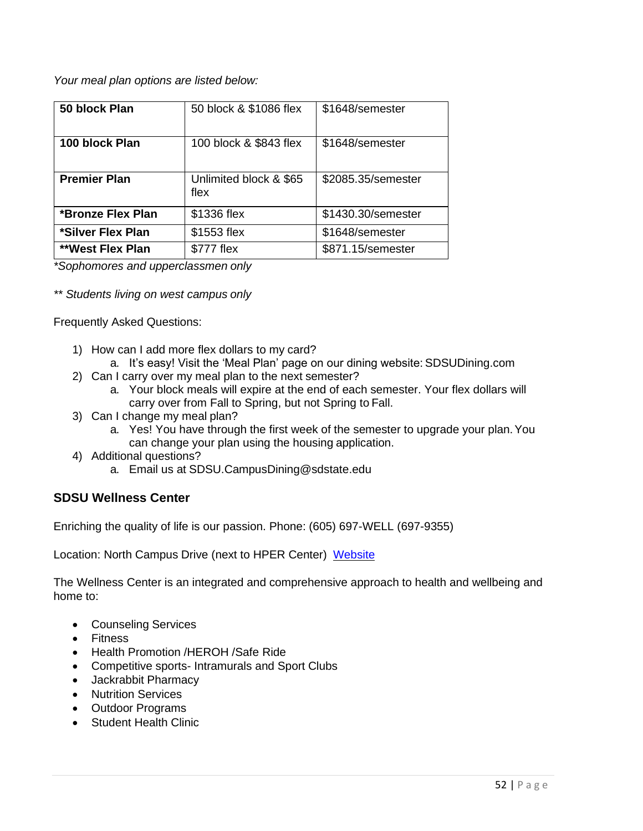*Your meal plan options are listed below:*

| 50 block Plan           | 50 block & \$1086 flex         | \$1648/semester    |
|-------------------------|--------------------------------|--------------------|
| 100 block Plan          | 100 block & \$843 flex         | \$1648/semester    |
| <b>Premier Plan</b>     | Unlimited block & \$65<br>flex | \$2085.35/semester |
| *Bronze Flex Plan       | \$1336 flex                    | \$1430.30/semester |
| *Silver Flex Plan       | \$1553 flex                    | \$1648/semester    |
| <b>**West Flex Plan</b> | \$777 flex                     | \$871.15/semester  |

*\*Sophomores and upperclassmen only*

*\*\* Students living on west campus only*

Frequently Asked Questions:

- 1) How can I add more flex dollars to my card?
	- a. It's easy! Visit the 'Meal Plan' page on our dining website: SDSUDining.com
- 2) Can I carry over my meal plan to the next semester?
	- a. Your block meals will expire at the end of each semester. Your flex dollars will carry over from Fall to Spring, but not Spring to Fall.
- 3) Can I change my meal plan?
	- a. Yes! You have through the first week of the semester to upgrade your plan.You can change your plan using the housing application.
- 4) Additional questions?
	- a. Email us at [SDSU.CampusDining@sdstate.edu](mailto:SDSU.CampusDining@sdstate.edu)

### <span id="page-52-0"></span>**SDSU Wellness Center**

Enriching the quality of life is our passion. Phone: (605) 697-WELL (697-9355)

Location: North Campus Drive (next to HPER Center) [Website](http://www.sdstate.edu/wellness-center/)

The Wellness Center is an integrated and comprehensive approach to health and wellbeing and home to:

- Counseling Services
- Fitness
- Health Promotion /HEROH /Safe Ride
- Competitive sports- Intramurals and Sport Clubs
- Jackrabbit Pharmacy
- Nutrition Services
- Outdoor Programs
- Student Health Clinic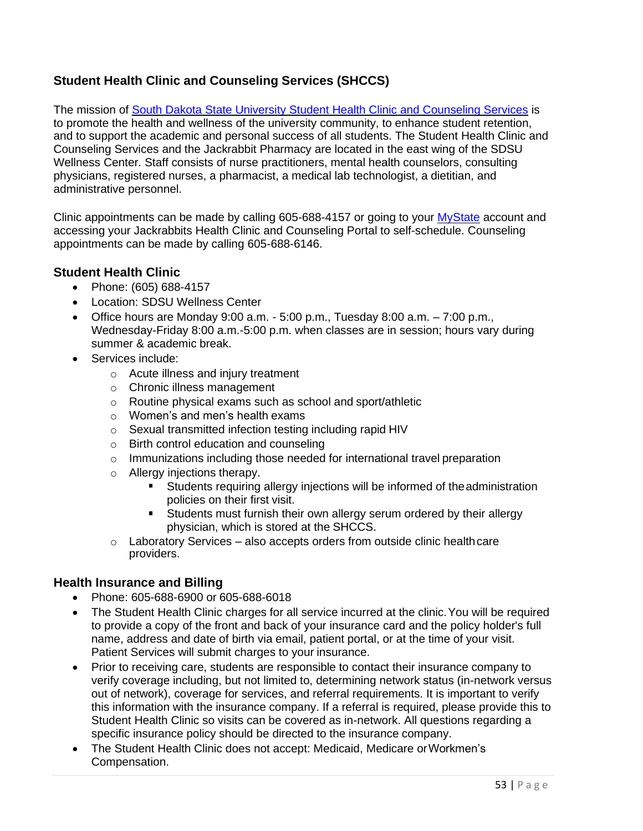## <span id="page-53-0"></span>**Student Health Clinic and Counseling Services (SHCCS)**

<span id="page-53-1"></span>The mission of [South Dakota State University Student Health Clinic and Counseling Services](https://www.sdstate.edu/wellness-center/student-health-clinic) is to promote the health and wellness of the university community, to enhance student retention, and to support the academic and personal success of all students. The Student Health Clinic and Counseling Services and the Jackrabbit Pharmacy are located in the east wing of the SDSU Wellness Center. Staff consists of nurse practitioners, mental health counselors, consulting physicians, registered nurses, a pharmacist, a medical lab technologist, a dietitian, and administrative personnel.

Clinic appointments can be made by calling 605-688-4157 or going to your [MyState](https://mystate.sdstate.edu/uPortal/f/guest-welcome/normal/render.uP) account and accessing your Jackrabbits Health Clinic and Counseling Portal to self-schedule. Counseling appointments can be made by calling 605-688-6146.

## **Student Health Clinic**

- Phone: (605) 688-4157
- Location: SDSU Wellness Center
- Office hours are Monday 9:00 a.m.  $-5:00$  p.m., Tuesday 8:00 a.m.  $-7:00$  p.m., Wednesday-Friday 8:00 a.m.-5:00 p.m. when classes are in session; hours vary during summer & academic break.
- Services include:
	- o Acute illness and injury treatment
	- o Chronic illness management
	- o Routine physical exams such as school and sport/athletic
	- o Women's and men's health exams
	- o Sexual transmitted infection testing including rapid HIV
	- o Birth control education and counseling
	- o Immunizations including those needed for international travel preparation
	- o Allergy injections therapy.
		- **Students requiring allergy injections will be informed of the administration** policies on their first visit.
		- **Students must furnish their own allergy serum ordered by their allergy** physician, which is stored at the SHCCS.
	- $\circ$  Laboratory Services also accepts orders from outside clinic health care providers.

### **Health Insurance and Billing**

- Phone: 605-688-6900 or 605-688-6018
- The Student Health Clinic charges for all service incurred at the clinic. You will be required to provide a copy of the front and back of your insurance card and the policy holder's full name, address and date of birth via email, patient portal, or at the time of your visit. Patient Services will submit charges to your insurance.
- Prior to receiving care, students are responsible to contact their insurance company to verify coverage including, but not limited to, determining network status (in-network versus out of network), coverage for services, and referral requirements. It is important to verify this information with the insurance company. If a referral is required, please provide this to Student Health Clinic so visits can be covered as in-network. All questions regarding a specific insurance policy should be directed to the insurance company.
- The Student Health Clinic does not accept: Medicaid, Medicare or Workmen's Compensation.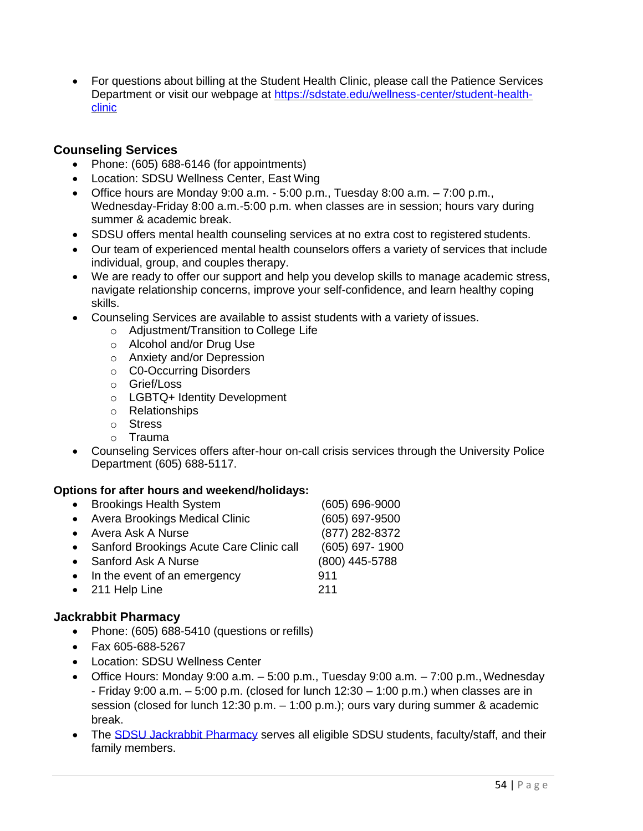• For questions about billing at the Student Health Clinic, please call the Patience Services Department or visit our webpage at [https://sdstate.edu/wellness-center/student-health](https://sdstate.edu/wellness-center/student-health-clinic)[clinic](https://sdstate.edu/wellness-center/student-health-clinic)

### <span id="page-54-0"></span>**Counseling Services**

- Phone: (605) 688-6146 (for appointments)
- Location: SDSU Wellness Center, East Wing
- Office hours are Monday 9:00 a.m.  $-5:00$  p.m., Tuesday 8:00 a.m.  $-7:00$  p.m., Wednesday-Friday 8:00 a.m.-5:00 p.m. when classes are in session; hours vary during summer & academic break.
- SDSU offers mental health counseling services at no extra cost to registered students.
- Our team of experienced mental health counselors offers a variety of services that include individual, group, and couples therapy.
- We are ready to offer our support and help you develop skills to manage academic stress, navigate relationship concerns, improve your self-confidence, and learn healthy coping skills.
- Counseling Services are available to assist students with a variety of issues.
	- o Adjustment/Transition to College Life
	- o Alcohol and/or Drug Use
	- o Anxiety and/or Depression
	- o C0-Occurring Disorders
	- o Grief/Loss
	- o LGBTQ+ Identity Development
	- o Relationships
	- o Stress
	- o Trauma
- Counseling Services offers after-hour on-call crisis services through the University Police Department (605) 688-5117.

### **Options for after hours and weekend/holidays:**

| <b>Brookings Health System</b><br>$\bullet$        | $(605) 696 - 9000$ |
|----------------------------------------------------|--------------------|
| <b>Avera Brookings Medical Clinic</b><br>$\bullet$ | (605) 697-9500     |
| • Avera Ask A Nurse                                | (877) 282-8372     |
| • Sanford Brookings Acute Care Clinic call         | (605) 697-1900     |
| Sanford Ask A Nurse                                | (800) 445-5788     |
| • In the event of an emergency                     | 911                |
| • 211 Help Line                                    | 211                |
|                                                    |                    |

### <span id="page-54-1"></span>**Jackrabbit Pharmacy**

- Phone: (605) 688-5410 (questions or refills)
- Fax 605-688-5267
- Location: SDSU Wellness Center
- Office Hours: Monday 9:00 a.m.  $-5:00$  p.m., Tuesday 9:00 a.m.  $-7:00$  p.m., Wednesday - Friday 9:00 a.m.  $-5:00$  p.m. (closed for lunch  $12:30 - 1:00$  p.m.) when classes are in session (closed for lunch 12:30 p.m. – 1:00 p.m.); ours vary during summer & academic break.
- The [SDSU Jackrabbit Pharmacy s](https://www.sdstate.edu/wellness-center/jackrabbit-pharmacy)erves all eligible SDSU students, faculty/staff, and their family members.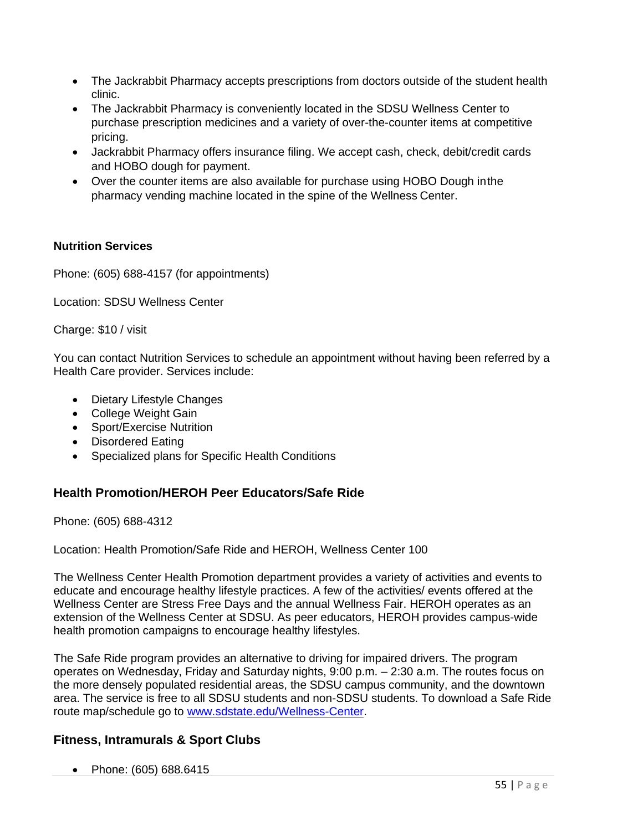- The Jackrabbit Pharmacy accepts prescriptions from doctors outside of the student health clinic.
- The Jackrabbit Pharmacy is conveniently located in the SDSU Wellness Center to purchase prescription medicines and a variety of over-the-counter items at competitive pricing.
- Jackrabbit Pharmacy offers insurance filing. We accept cash, check, debit/credit cards and HOBO dough for payment.
- Over the counter items are also available for purchase using HOBO Dough inthe pharmacy vending machine located in the spine of the Wellness Center.

#### **Nutrition Services**

Phone: (605) 688-4157 (for appointments)

Location: SDSU Wellness Center

Charge: \$10 / visit

You can contact Nutrition Services to schedule an appointment without having been referred by a Health Care provider. Services include:

- Dietary Lifestyle Changes
- College Weight Gain
- Sport/Exercise Nutrition
- Disordered Eating
- Specialized plans for Specific Health Conditions

### <span id="page-55-0"></span>**Health Promotion/HEROH Peer Educators/Safe Ride**

Phone: (605) 688-4312

Location: Health Promotion/Safe Ride and HEROH, Wellness Center 100

The Wellness Center Health Promotion department provides a variety of activities and events to educate and encourage healthy lifestyle practices. A few of the activities/ events offered at the Wellness Center are Stress Free Days and the annual Wellness Fair. HEROH operates as an extension of the Wellness Center at SDSU. As peer educators, HEROH provides campus-wide health promotion campaigns to encourage healthy lifestyles.

The Safe Ride program provides an alternative to driving for impaired drivers. The program operates on Wednesday, Friday and Saturday nights, 9:00 p.m. – 2:30 a.m. The routes focus on the more densely populated residential areas, the SDSU campus community, and the downtown area. The service is free to all SDSU students and non-SDSU students. To download a Safe Ride route map/schedule go to [www.sdstate.edu/Wellness-Center.](http://www.sdstate.edu/Wellness-Center)

### <span id="page-55-1"></span>**Fitness, Intramurals & Sport Clubs**

• Phone: (605) 688.6415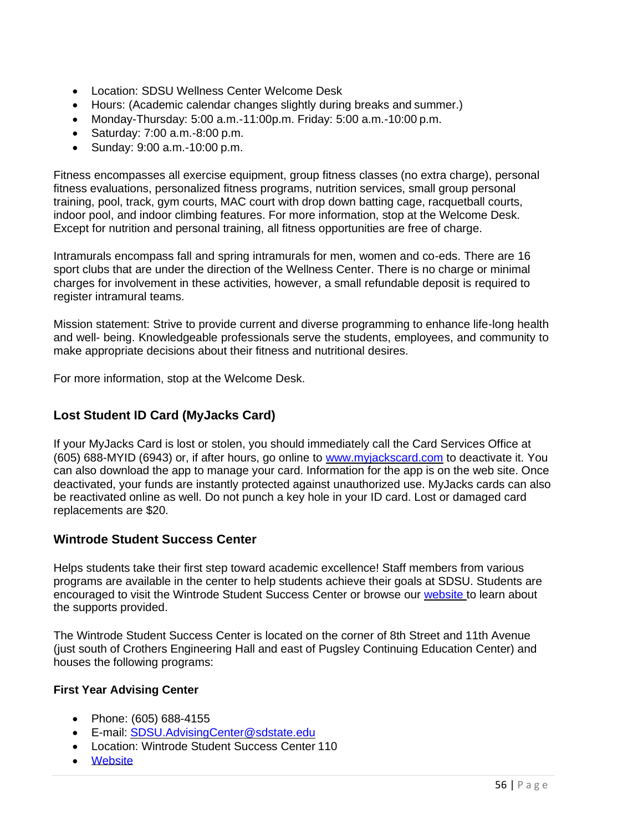- Location: SDSU Wellness Center Welcome Desk
- Hours: (Academic calendar changes slightly during breaks and summer.)
- Monday-Thursday: 5:00 a.m.-11:00p.m. Friday: 5:00 a.m.-10:00 p.m.
- Saturday: 7:00 a.m.-8:00 p.m.
- Sunday: 9:00 a.m.-10:00 p.m.

Fitness encompasses all exercise equipment, group fitness classes (no extra charge), personal fitness evaluations, personalized fitness programs, nutrition services, small group personal training, pool, track, gym courts, MAC court with drop down batting cage, racquetball courts, indoor pool, and indoor climbing features. For more information, stop at the Welcome Desk. Except for nutrition and personal training, all fitness opportunities are free of charge.

Intramurals encompass fall and spring intramurals for men, women and co-eds. There are 16 sport clubs that are under the direction of the Wellness Center. There is no charge or minimal charges for involvement in these activities, however, a small refundable deposit is required to register intramural teams.

Mission statement: Strive to provide current and diverse programming to enhance life-long health and well- being. Knowledgeable professionals serve the students, employees, and community to make appropriate decisions about their fitness and nutritional desires.

<span id="page-56-0"></span>For more information, stop at the Welcome Desk.

### **Lost Student ID Card (MyJacks Card)**

If your MyJacks Card is lost or stolen, you should immediately call the Card Services Office at (605) 688-MYID (6943) or, if after hours, go online to [www.myjackscard.com](http://www.myjackscard.com/) to deactivate it. You can also download the app to manage your card. Information for the app is on the web site. Once deactivated, your funds are instantly protected against unauthorized use. MyJacks cards can also be reactivated online as well. Do not punch a key hole in your ID card. Lost or damaged card replacements are \$20.

### <span id="page-56-1"></span>**Wintrode Student Success Center**

Helps students take their first step toward academic excellence! Staff members from various programs are available in the center to help students achieve their goals at SDSU. Students are encouraged to visit the Wintrode Student Success Center or browse our [website t](http://sdstate.edu/gs/center/index.cfm)o learn about the supports provided.

The Wintrode Student Success Center is located on the corner of 8th Street and 11th Avenue (just south of Crothers Engineering Hall and east of Pugsley Continuing Education Center) and houses the following programs:

#### <span id="page-56-2"></span>**First Year Advising Center**

- Phone: (605) 688-4155
- E-mail: [SDSU.AdvisingCenter@sdstate.edu](mailto:SDSU.AdvisingCenter@sdstate.edu)
- Location: Wintrode Student Success Center 110
- **[Website](http://www.sdstate.edu/gs/students/advising/index.cfm)**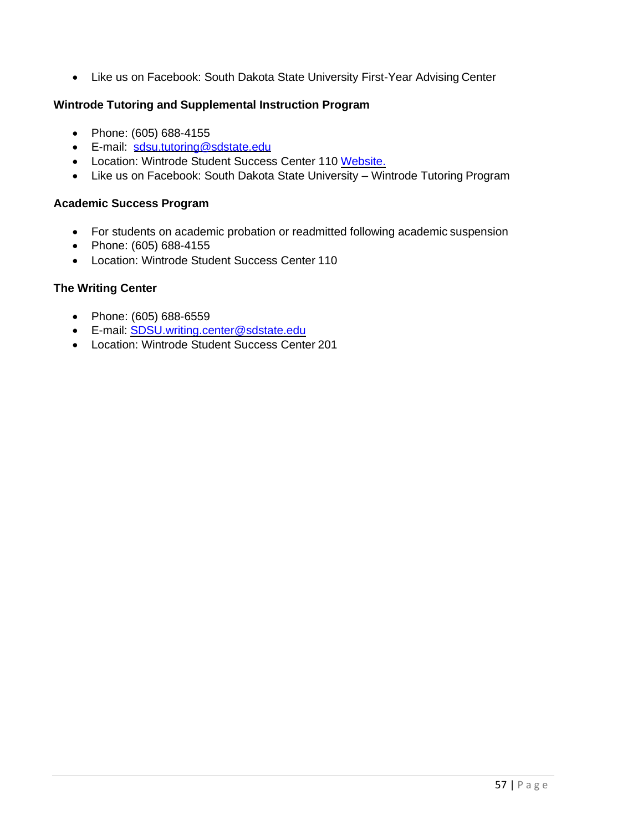• Like us on Facebook: South Dakota State University First-Year Advising Center

#### <span id="page-57-0"></span>**Wintrode Tutoring and Supplemental Instruction Program**

- Phone: (605) 688-4155
- E-mail: [sdsu.tutoring@sdstate.edu](mailto:sdsu.tutoring@sdstate.edu)
- Location: Wintrode Student Success Center 110 [Website.](http://www.sdstate.edu/gs/students/tutoring/)
- Like us on Facebook: South Dakota State University Wintrode Tutoring Program

#### <span id="page-57-1"></span>**Academic Success Program**

- For students on academic probation or readmitted following academic suspension
- Phone: (605) 688-4155
- Location: Wintrode Student Success Center 110

#### <span id="page-57-2"></span>**The Writing Center**

- Phone: (605) 688-6559
- E-mail: [SDSU.writing.center@sdstate.edu](mailto:SDSU.writing.center@sdstate.edu)
- Location: Wintrode Student Success Center 201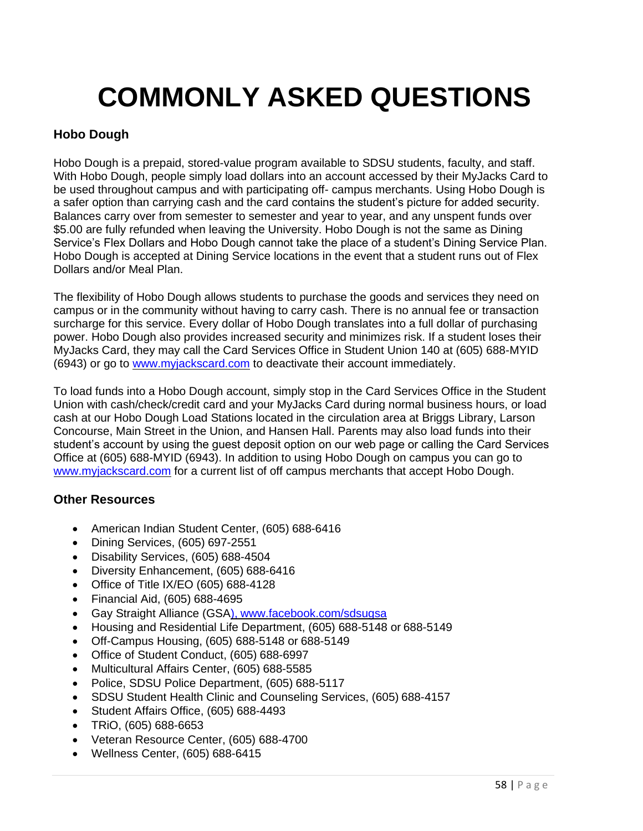# **COMMONLY ASKED QUESTIONS**

## <span id="page-58-1"></span><span id="page-58-0"></span>**Hobo Dough**

Hobo Dough is a prepaid, stored-value program available to SDSU students, faculty, and staff. With Hobo Dough, people simply load dollars into an account accessed by their MyJacks Card to be used throughout campus and with participating off- campus merchants. Using Hobo Dough is a safer option than carrying cash and the card contains the student's picture for added security. Balances carry over from semester to semester and year to year, and any unspent funds over \$5.00 are fully refunded when leaving the University. Hobo Dough is not the same as Dining Service's Flex Dollars and Hobo Dough cannot take the place of a student's Dining Service Plan. Hobo Dough is accepted at Dining Service locations in the event that a student runs out of Flex Dollars and/or Meal Plan.

The flexibility of Hobo Dough allows students to purchase the goods and services they need on campus or in the community without having to carry cash. There is no annual fee or transaction surcharge for this service. Every dollar of Hobo Dough translates into a full dollar of purchasing power. Hobo Dough also provides increased security and minimizes risk. If a student loses their MyJacks Card, they may call the Card Services Office in Student Union 140 at (605) 688-MYID (6943) or go to [www.myjackscard.com](http://www.myjackscard.com/) to deactivate their account immediately.

To load funds into a Hobo Dough account, simply stop in the Card Services Office in the Student Union with cash/check/credit card and your MyJacks Card during normal business hours, or load cash at our Hobo Dough Load Stations located in the circulation area at Briggs Library, Larson Concourse, Main Street in the Union, and Hansen Hall. Parents may also load funds into their student's account by using the guest deposit option on our web page or calling the Card Services Office at (605) 688-MYID (6943). In addition to using Hobo Dough on campus you can go to [www.myjackscard.com](http://www.myjackscard.com/) for a current list of off campus merchants that accept Hobo Dough.

### <span id="page-58-2"></span>**Other Resources**

- American Indian Student Center, (605) 688-6416
- Dining Services, (605) 697-2551
- Disability Services, (605) 688-4504
- Diversity Enhancement, (605) 688-6416
- Office of Title IX/EO (605) 688-4128
- Financial Aid, (605) 688-4695
- Gay Straight Alliance (GSA), [www.facebook.com/sdsugsa](http://www.facebook.com/sdsugsa)
- Housing and Residential Life Department, (605) 688-5148 or 688-5149
- Off-Campus Housing, (605) 688-5148 or 688-5149
- Office of Student Conduct, (605) 688-6997
- Multicultural Affairs Center, (605) 688-5585
- Police, SDSU Police Department, (605) 688-5117
- SDSU Student Health Clinic and Counseling Services, (605) 688-4157
- Student Affairs Office, (605) 688-4493
- TRiO, (605) 688-6653
- Veteran Resource Center, (605) 688-4700
- Wellness Center, (605) 688-6415